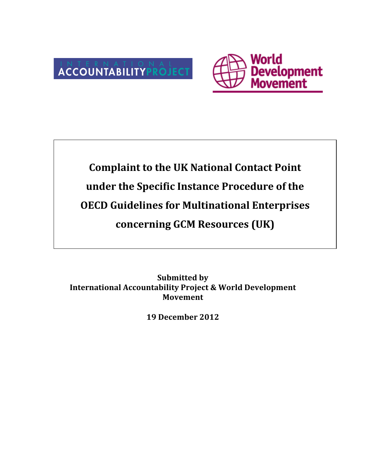



# **Complaint to the UK National Contact Point** under the Specific Instance Procedure of the **OECD Guidelines for Multinational Enterprises concerning!GCM!Resources!(UK)**

**Submitted by International Accountability Project & World Development Movement**

**19 December 2012**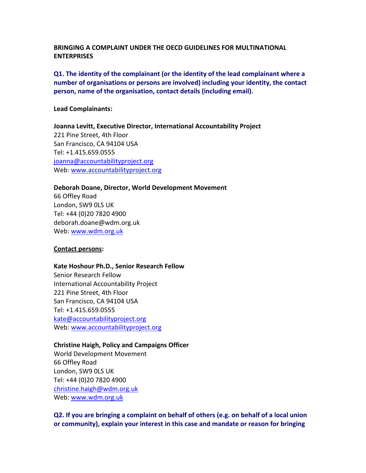#### BRINGING A COMPLAINT UNDER THE OFCD GUIDELINES FOR MULTINATIONAL **ENTERPRISES**

### **Q1.** The identity of the complainant (or the identity of the lead complainant where a number of organisations or persons are involved) including your identity, the contact **person, name of the organisation, contact details (including email).**

#### Lead Complainants:

**Joanna Levitt, Executive Director, International Accountability Project** 221 Pine Street, 4th Floor San Francisco, CA 94104 USA Tel: +1.415.659.0555 joanna@accountabilityproject.org Web: www.accountabilityproject.org

#### Deborah Doane, Director, World Development Movement

66!Offley!Road London, SW9 OLS UK Tel: +44 (0)20 7820 4900 deborah.doane@wdm.org.uk Web: www.wdm.org.uk

#### **Contact persons:**

#### Kate Hoshour Ph.D., Senior Research Fellow

Senior Research Fellow International Accountability Project 221 Pine Street, 4th Floor San Francisco, CA 94104 USA Tel: +1.415.659.0555 kate@accountabilityproject.org Web: www.accountabilityproject.org

#### **Christine Haigh, Policy and Campaigns Officer**

World Development Movement 66!Offley!Road London, SW9 OLS UK Tel: +44 (0)20 7820 4900 christine.haigh@wdm.org.uk!!! Web: www.wdm.org.uk

**Q2.** If you are bringing a complaint on behalf of others (e.g. on behalf of a local union **or community), explain your interest in this case and mandate or reason for bringing**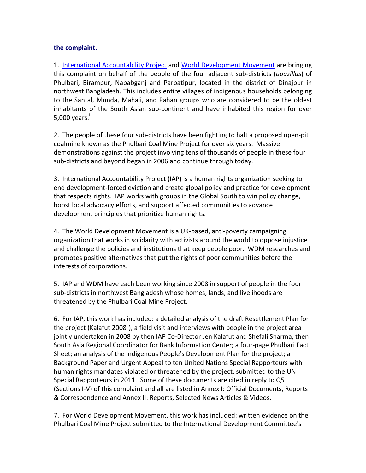#### the complaint.

1. International Accountability Project and World Development Movement are bringing this complaint on behalf of the people of the four adjacent sub-districts (*upazillas*) of Phulbari, Birampur, Nababganj and Parbatipur, located in the district of Dinajpur in northwest Bangladesh. This includes entire villages of indigenous households belonging to the Santal, Munda, Mahali, and Pahan groups who are considered to be the oldest inhabitants of the South Asian sub-continent and have inhabited this region for over  $5,000$  years.

2. The people of these four sub-districts have been fighting to halt a proposed open-pit coalmine known as the Phulbari Coal Mine Project for over six years. Massive demonstrations against the project involving tens of thousands of people in these four sub-districts and beyond began in 2006 and continue through today.

3. International Accountability Project (IAP) is a human rights organization seeking to end development-forced eviction and create global policy and practice for development that respects rights. IAP works with groups in the Global South to win policy change, boost local advocacy efforts, and support affected communities to advance development principles that prioritize human rights.

4. The World Development Movement is a UK-based, anti-poverty campaigning organization that works in solidarity with activists around the world to oppose injustice and challenge the policies and institutions that keep people poor. WDM researches and promotes positive alternatives that put the rights of poor communities before the interests of corporations.

5. IAP and WDM have each been working since 2008 in support of people in the four sub-districts in northwest Bangladesh whose homes, lands, and livelihoods are threatened by the Phulbari Coal Mine Project.

6. For IAP, this work has included: a detailed analysis of the draft Resettlement Plan for the project (Kalafut 2008<sup>ii</sup>), a field visit and interviews with people in the project area jointly undertaken in 2008 by then IAP Co-Director Jen Kalafut and Shefali Sharma, then South Asia Regional Coordinator for Bank Information Center; a four-page Phulbari Fact Sheet; an analysis of the Indigenous People's Development Plan for the project; a Background Paper and Urgent Appeal to ten United Nations Special Rapporteurs with human rights mandates violated or threatened by the project, submitted to the UN Special Rapporteurs in 2011. Some of these documents are cited in reply to Q5 (Sections I-V) of this complaint and all are listed in Annex I: Official Documents, Reports & Correspondence and Annex II: Reports, Selected News Articles & Videos.

7. For World Development Movement, this work has included: written evidence on the Phulbari Coal Mine Project submitted to the International Development Committee's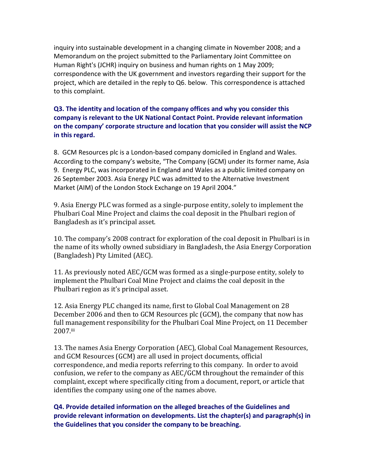inquiry into sustainable development in a changing climate in November 2008; and a Memorandum on the project submitted to the Parliamentary Joint Committee on Human Right's (JCHR) inquiry on business and human rights on 1 May 2009; correspondence with the UK government and investors regarding their support for the project, which are detailed in the reply to Q6. below. This correspondence is attached to this complaint.

**Q3.** The identity and location of the company offices and why you consider this company is relevant to the UK National Contact Point. Provide relevant information on the company' corporate structure and location that you consider will assist the NCP in this regard.

8. GCM Resources plc is a London-based company domiciled in England and Wales. According to the company's website, "The Company (GCM) under its former name, Asia 9. Energy PLC, was incorporated in England and Wales as a public limited company on 26 September 2003. Asia Energy PLC was admitted to the Alternative Investment Market (AIM) of the London Stock Exchange on 19 April 2004."

9. Asia Energy PLC was formed as a single-purpose entity, solely to implement the Phulbari Coal Mine Project and claims the coal deposit in the Phulbari region of Bangladesh as it's principal asset.

10. The company's 2008 contract for exploration of the coal deposit in Phulbari is in the name of its wholly owned subsidiary in Bangladesh, the Asia Energy Corporation (Bangladesh) Pty Limited (AEC).

11. As previously noted AEC/GCM was formed as a single-purpose entity, solely to implement the Phulbari Coal Mine Project and claims the coal deposit in the Phulbari region as it's principal asset.

12. Asia Energy PLC changed its name, first to Global Coal Management on 28 December 2006 and then to GCM Resources plc (GCM), the company that now has full management responsibility for the Phulbari Coal Mine Project, on 11 December 2007.iii

13. The names Asia Energy Corporation (AEC), Global Coal Management Resources, and GCM Resources (GCM) are all used in project documents, official correspondence, and media reports referring to this company. In order to avoid confusion, we refer to the company as AEC/GCM throughout the remainder of this complaint, except where specifically citing from a document, report, or article that identifies the company using one of the names above.

**Q4. Provide detailed information on the alleged breaches of the Guidelines and provide relevant information on developments. List the chapter(s) and paragraph(s) in** the Guidelines that you consider the company to be breaching.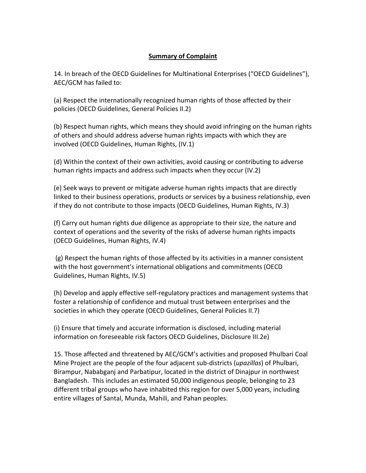## **Summary of Complaint**

14. In breach of the OECD Guidelines for Multinational Enterprises ("OECD Guidelines"), AEC/GCM has failed to:

(a) Respect the internationally recognized human rights of those affected by their policies (OECD Guidelines, General Policies II.2)

(b) Respect human rights, which means they should avoid infringing on the human rights of others and should address adverse human rights impacts with which they are involved (OECD Guidelines, Human Rights, (IV.1)

(d) Within the context of their own activities, avoid causing or contributing to adverse human rights impacts and address such impacts when they occur (IV.2)

(e) Seek ways to prevent or mitigate adverse human rights impacts that are directly linked to their business operations, products or services by a business relationship, even if they do not contribute to those impacts (OECD Guidelines, Human Rights, IV.3)

(f) Carry out human rights due diligence as appropriate to their size, the nature and context of operations and the severity of the risks of adverse human rights impacts (OECD Guidelines, Human Rights, IV.4)

 $(g)$  Respect the human rights of those affected by its activities in a manner consistent with the host government's international obligations and commitments (OECD) Guidelines, Human Rights, IV.5)

(h) Develop and apply effective self-regulatory practices and management systems that foster a relationship of confidence and mutual trust between enterprises and the societies in which they operate (OECD Guidelines, General Policies II.7)

(i) Ensure that timely and accurate information is disclosed, including material information on foreseeable risk factors OECD Guidelines, Disclosure III.2e)

15. Those affected and threatened by AEC/GCM's activities and proposed Phulbari Coal Mine Project are the people of the four adjacent sub-districts (*upazillas*) of Phulbari, Birampur, Nababganj and Parbatipur, located in the district of Dinajpur in northwest Bangladesh. This includes an estimated 50,000 indigenous people, belonging to 23 different tribal groups who have inhabited this region for over 5,000 years, including entire villages of Santal, Munda, Mahili, and Pahan peoples.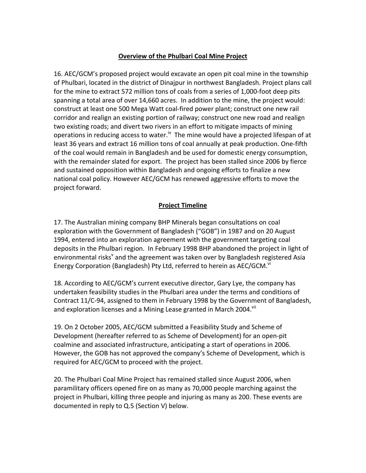#### **Overview of the Phulbari Coal Mine Project**

16. AEC/GCM's proposed project would excavate an open pit coal mine in the township of Phulbari, located in the district of Dinajpur in northwest Bangladesh. Project plans call for the mine to extract 572 million tons of coals from a series of 1,000-foot deep pits spanning a total area of over 14,660 acres. In addition to the mine, the project would: construct at least one 500 Mega Watt coal-fired power plant; construct one new rail corridor and realign an existing portion of railway; construct one new road and realign two existing roads; and divert two rivers in an effort to mitigate impacts of mining operations in reducing access to water.<sup>iv</sup> The mine would have a projected lifespan of at least 36 years and extract 16 million tons of coal annually at peak production. One-fifth of the coal would remain in Bangladesh and be used for domestic energy consumption, with the remainder slated for export. The project has been stalled since 2006 by fierce and sustained opposition within Bangladesh and ongoing efforts to finalize a new national coal policy. However AEC/GCM has renewed aggressive efforts to move the project forward.

#### **Project Timeline**

17. The Australian mining company BHP Minerals began consultations on coal exploration with the Government of Bangladesh ("GOB") in 1987 and on 20 August 1994, entered into an exploration agreement with the government targeting coal deposits in the Phulbari region. In February 1998 BHP abandoned the project in light of environmental risks<sup>v</sup> and the agreement was taken over by Bangladesh registered Asia Energy Corporation (Bangladesh) Pty Ltd, referred to herein as AEC/GCM.<sup>vi</sup>

18. According to AEC/GCM's current executive director, Gary Lye, the company has undertaken feasibility studies in the Phulbari area under the terms and conditions of Contract 11/C-94, assigned to them in February 1998 by the Government of Bangladesh, and exploration licenses and a Mining Lease granted in March 2004.<sup>VII</sup>

19. On 2 October 2005, AEC/GCM submitted a Feasibility Study and Scheme of Development (hereafter referred to as Scheme of Development) for an open-pit coalmine and associated infrastructure, anticipating a start of operations in 2006. However, the GOB has not approved the company's Scheme of Development, which is required for AEC/GCM to proceed with the project.

20. The Phulbari Coal Mine Project has remained stalled since August 2006, when paramilitary officers opened fire on as many as 70,000 people marching against the project in Phulbari, killing three people and injuring as many as 200. These events are documented in reply to  $Q.5$  (Section V) below.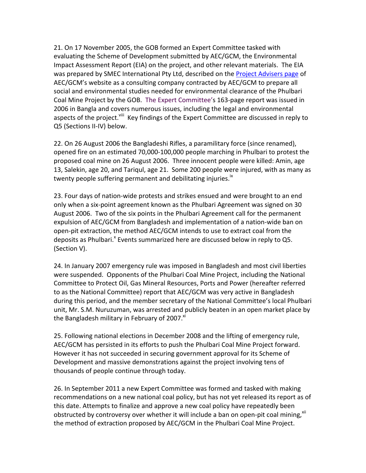21. On 17 November 2005, the GOB formed an Expert Committee tasked with evaluating the Scheme of Development submitted by AEC/GCM, the Environmental Impact Assessment Report (EIA) on the project, and other relevant materials. The EIA was prepared by SMEC International Pty Ltd, described on the Project Advisers page of AEC/GCM's website as a consulting company contracted by AEC/GCM to prepare all social and environmental studies needed for environmental clearance of the Phulbari Coal Mine Project by the GOB. The Expert Committee's 163-page report was issued in 2006 in Bangla and covers numerous issues, including the legal and environmental aspects of the project.<sup>viii</sup> Key findings of the Expert Committee are discussed in reply to Q5 (Sections II-IV) below.

22. On 26 August 2006 the Bangladeshi Rifles, a paramilitary force (since renamed), opened fire on an estimated 70,000-100,000 people marching in Phulbari to protest the proposed coal mine on 26 August 2006. Three innocent people were killed: Amin, age 13, Salekin, age 20, and Tariqul, age 21. Some 200 people were injured, with as many as twenty people suffering permanent and debilitating injuries.<sup>ix</sup>

23. Four days of nation-wide protests and strikes ensued and were brought to an end only when a six-point agreement known as the Phulbari Agreement was signed on 30 August 2006. Two of the six points in the Phulbari Agreement call for the permanent expulsion of AEC/GCM from Bangladesh and implementation of a nation-wide ban on open-pit extraction, the method AEC/GCM intends to use to extract coal from the deposits as Phulbari.<sup>x</sup> Events summarized here are discussed below in reply to Q5. (Section V).

24. In January 2007 emergency rule was imposed in Bangladesh and most civil liberties were suspended. Opponents of the Phulbari Coal Mine Project, including the National Committee to Protect Oil, Gas Mineral Resources, Ports and Power (hereafter referred to as the National Committee) report that AEC/GCM was very active in Bangladesh during this period, and the member secretary of the National Committee's local Phulbari unit, Mr. S.M. Nuruzuman, was arrested and publicly beaten in an open market place by the Bangladesh military in February of 2007. $x$ <sup>xi</sup>

25. Following national elections in December 2008 and the lifting of emergency rule, AEC/GCM has persisted in its efforts to push the Phulbari Coal Mine Project forward. However it has not succeeded in securing government approval for its Scheme of Development and massive demonstrations against the project involving tens of thousands of people continue through today.

26. In September 2011 a new Expert Committee was formed and tasked with making recommendations on a new national coal policy, but has not yet released its report as of this date. Attempts to finalize and approve a new coal policy have repeatedly been obstructed by controversy over whether it will include a ban on open-pit coal mining, xii the method of extraction proposed by AEC/GCM in the Phulbari Coal Mine Project.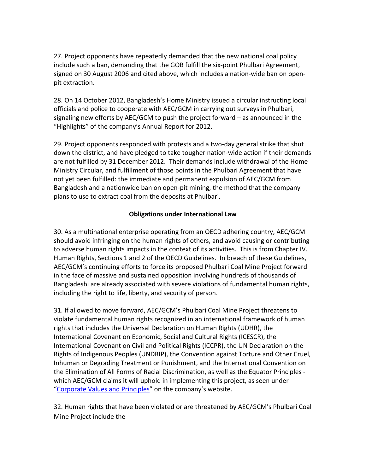27. Project opponents have repeatedly demanded that the new national coal policy include such a ban, demanding that the GOB fulfill the six-point Phulbari Agreement, signed on 30 August 2006 and cited above, which includes a nation-wide ban on openpit extraction.

28. On 14 October 2012, Bangladesh's Home Ministry issued a circular instructing local officials and police to cooperate with AEC/GCM in carrying out surveys in Phulbari, signaling new efforts by AEC/GCM to push the project forward – as announced in the "Highlights" of the company's Annual Report for 2012.

29. Project opponents responded with protests and a two-day general strike that shut down the district, and have pledged to take tougher nation-wide action if their demands are not fulfilled by 31 December 2012. Their demands include withdrawal of the Home Ministry Circular, and fulfillment of those points in the Phulbari Agreement that have not yet been fulfilled: the immediate and permanent expulsion of AEC/GCM from Bangladesh and a nationwide ban on open-pit mining, the method that the company plans to use to extract coal from the deposits at Phulbari.

#### **Obligations under International Law**

30. As a multinational enterprise operating from an OECD adhering country, AEC/GCM should avoid infringing on the human rights of others, and avoid causing or contributing to adverse human rights impacts in the context of its activities. This is from Chapter IV. Human Rights, Sections 1 and 2 of the OECD Guidelines. In breach of these Guidelines, AEC/GCM's continuing efforts to force its proposed Phulbari Coal Mine Project forward in the face of massive and sustained opposition involving hundreds of thousands of Bangladeshi are already associated with severe violations of fundamental human rights, including the right to life, liberty, and security of person.

31. If allowed to move forward, AEC/GCM's Phulbari Coal Mine Project threatens to violate fundamental human rights recognized in an international framework of human rights that includes the Universal Declaration on Human Rights (UDHR), the International Covenant on Economic, Social and Cultural Rights (ICESCR), the International Covenant on Civil and Political Rights (ICCPR), the UN Declaration on the Rights of Indigenous Peoples (UNDRIP), the Convention against Torture and Other Cruel, Inhuman or Degrading Treatment or Punishment, and the International Convention on the Elimination of All Forms of Racial Discrimination, as well as the Equator Principles which AEC/GCM claims it will uphold in implementing this project, as seen under "Corporate Values and Principles" on the company's website.

32. Human rights that have been violated or are threatened by AEC/GCM's Phulbari Coal Mine Project include the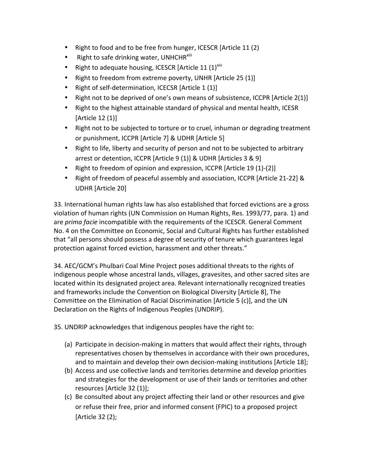- Right to food and to be free from hunger, ICESCR [Article 11 (2)
- Right to safe drinking water, UNHCHR $^{\text{xiii}}$
- Right to adequate housing, ICESCR [Article 11  $(1)^{X^{\text{iv}}}$
- Right to freedom from extreme poverty, UNHR [Article 25 (1)]
- Right of self-determination, ICECSR [Article  $1 (1)$ ]
- Right not to be deprived of one's own means of subsistence, ICCPR [Article 2(1)]
- Right to the highest attainable standard of physical and mental health, ICESR [Article  $12$  (1)]
- Right not to be subjected to torture or to cruel, inhuman or degrading treatment or punishment, ICCPR [Article 7] & UDHR [Article 5]
- Right to life, liberty and security of person and not to be subjected to arbitrary arrest or detention, ICCPR [Article 9 (1)] & UDHR [Articles 3 & 9]
- Right to freedom of opinion and expression, ICCPR [Article 19 (1)-(2)]
- Right of freedom of peaceful assembly and association, ICCPR [Article 21-22] & UDHR [Article 20]

33. International human rights law has also established that forced evictions are a gross violation of human rights (UN Commission on Human Rights, Res. 1993/77, para. 1) and are *prima facie* incompatible with the requirements of the ICESCR. General Comment No. 4 on the Committee on Economic, Social and Cultural Rights has further established that "all persons should possess a degree of security of tenure which guarantees legal protection against forced eviction, harassment and other threats."

34. AEC/GCM's Phulbari Coal Mine Project poses additional threats to the rights of indigenous people whose ancestral lands, villages, gravesites, and other sacred sites are located within its designated project area. Relevant internationally recognized treaties and frameworks include the Convention on Biological Diversity [Article 8], The Committee on the Elimination of Racial Discrimination [Article 5 (c)], and the UN Declaration on the Rights of Indigenous Peoples (UNDRIP).

35. UNDRIP acknowledges that indigenous peoples have the right to:

- (a) Participate in decision-making in matters that would affect their rights, through representatives chosen by themselves in accordance with their own procedures, and to maintain and develop their own decision-making institutions [Article 18];
- (b) Access and use collective lands and territories determine and develop priorities and strategies for the development or use of their lands or territories and other resources [Article 32 (1)];
- (c) Be consulted about any project affecting their land or other resources and give or refuse their free, prior and informed consent (FPIC) to a proposed project [Article 32 (2);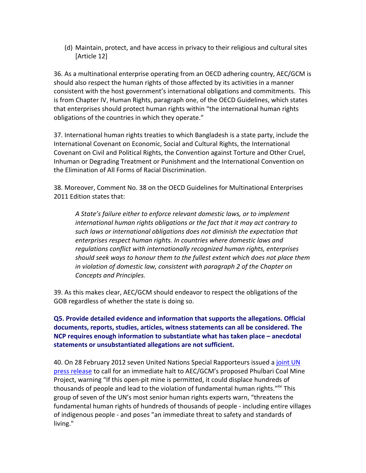(d) Maintain, protect, and have access in privacy to their religious and cultural sites [Article 12]

36. As a multinational enterprise operating from an OECD adhering country, AEC/GCM is should also respect the human rights of those affected by its activities in a manner consistent with the host government's international obligations and commitments. This is from Chapter IV, Human Rights, paragraph one, of the OECD Guidelines, which states that enterprises should protect human rights within "the international human rights obligations of the countries in which they operate."

37. International human rights treaties to which Bangladesh is a state party, include the International Covenant on Economic, Social and Cultural Rights, the International Covenant on Civil and Political Rights, the Convention against Torture and Other Cruel, Inhuman or Degrading Treatment or Punishment and the International Convention on the Elimination of All Forms of Racial Discrimination.

38. Moreover, Comment No. 38 on the OECD Guidelines for Multinational Enterprises 2011 Edition states that:

A State's failure either to enforce relevant domestic laws, or to implement international human rights obligations or the fact that it may act contrary to such laws or international obligations does not diminish the expectation that enterprises respect human rights. In countries where domestic laws and regulations conflict with internationally recognized human rights, enterprises should seek ways to honour them to the fullest extent which does not place them in violation of domestic law, consistent with paragraph 2 of the Chapter on *Concepts and Principles.* 

39. As this makes clear, AEC/GCM should endeavor to respect the obligations of the GOB regardless of whether the state is doing so.

## **Q5. Provide detailed evidence and information that supports the allegations. Official** documents, reports, studies, articles, witness statements can all be considered. The **NCP requires enough information to substantiate what has taken place – anecdotal** statements or unsubstantiated allegations are not sufficient.

40. On 28 February 2012 seven United Nations Special Rapporteurs issued a joint UN press release to call for an immediate halt to AEC/GCM's proposed Phulbari Coal Mine Project, warning "If this open-pit mine is permitted, it could displace hundreds of thousands of people and lead to the violation of fundamental human rights."<sup>xv</sup> This group of seven of the UN's most senior human rights experts warn, "threatens the fundamental human rights of hundreds of thousands of people - including entire villages of indigenous people - and poses "an immediate threat to safety and standards of living."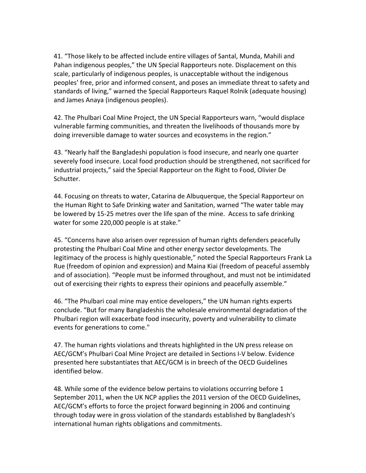41. "Those likely to be affected include entire villages of Santal, Munda, Mahili and Pahan indigenous peoples," the UN Special Rapporteurs note. Displacement on this scale, particularly of indigenous peoples, is unacceptable without the indigenous peoples' free, prior and informed consent, and poses an immediate threat to safety and standards of living," warned the Special Rapporteurs Raquel Rolnik (adequate housing) and James Anaya (indigenous peoples).

42. The Phulbari Coal Mine Project, the UN Special Rapporteurs warn, "would displace" vulnerable farming communities, and threaten the livelihoods of thousands more by doing irreversible damage to water sources and ecosystems in the region."

43. "Nearly half the Bangladeshi population is food insecure, and nearly one quarter severely food insecure. Local food production should be strengthened, not sacrificed for industrial projects," said the Special Rapporteur on the Right to Food, Olivier De Schutter.

44. Focusing on threats to water, Catarina de Albuquerque, the Special Rapporteur on the Human Right to Safe Drinking water and Sanitation, warned "The water table may be lowered by 15-25 metres over the life span of the mine. Access to safe drinking water for some 220,000 people is at stake."

45. "Concerns have also arisen over repression of human rights defenders peacefully protesting the Phulbari Coal Mine and other energy sector developments. The legitimacy of the process is highly questionable," noted the Special Rapporteurs Frank La Rue (freedom of opinion and expression) and Maina Kiai (freedom of peaceful assembly and of association). "People must be informed throughout, and must not be intimidated out of exercising their rights to express their opinions and peacefully assemble."

46. "The Phulbari coal mine may entice developers," the UN human rights experts conclude. "But for many Bangladeshis the wholesale environmental degradation of the Phulbari region will exacerbate food insecurity, poverty and vulnerability to climate events for generations to come."

47. The human rights violations and threats highlighted in the UN press release on AEC/GCM's Phulbari Coal Mine Project are detailed in Sections I-V below. Evidence presented here substantiates that AEC/GCM is in breech of the OECD Guidelines identified below.

48. While some of the evidence below pertains to violations occurring before 1 September 2011, when the UK NCP applies the 2011 version of the OECD Guidelines, AEC/GCM's efforts to force the project forward beginning in 2006 and continuing through today were in gross violation of the standards established by Bangladesh's international human rights obligations and commitments.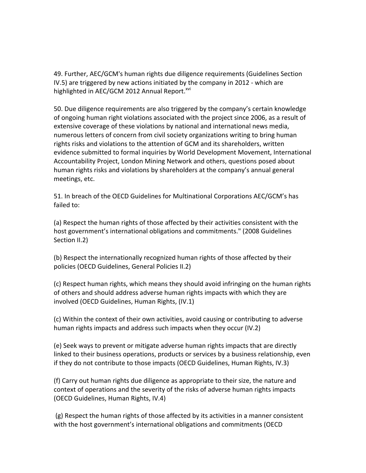49. Further, AEC/GCM's human rights due diligence requirements (Guidelines Section IV.5) are triggered by new actions initiated by the company in 2012 - which are highlighted in AEC/GCM 2012 Annual Report.<sup>xvi</sup>

50. Due diligence requirements are also triggered by the company's certain knowledge of ongoing human right violations associated with the project since 2006, as a result of extensive coverage of these violations by national and international news media, numerous letters of concern from civil society organizations writing to bring human rights risks and violations to the attention of GCM and its shareholders, written evidence submitted to formal inquiries by World Development Movement, International Accountability Project, London Mining Network and others, questions posed about human rights risks and violations by shareholders at the company's annual general meetings, etc.

51. In breach of the OECD Guidelines for Multinational Corporations AEC/GCM's has failed to:

(a) Respect the human rights of those affected by their activities consistent with the host government's international obligations and commitments." (2008 Guidelines Section II.2)

(b) Respect the internationally recognized human rights of those affected by their policies (OECD Guidelines, General Policies II.2)

(c) Respect human rights, which means they should avoid infringing on the human rights of others and should address adverse human rights impacts with which they are involved (OECD Guidelines, Human Rights, (IV.1)

(c) Within the context of their own activities, avoid causing or contributing to adverse human rights impacts and address such impacts when they occur (IV.2)

(e) Seek ways to prevent or mitigate adverse human rights impacts that are directly linked to their business operations, products or services by a business relationship, even if they do not contribute to those impacts (OECD Guidelines, Human Rights, IV.3)

(f) Carry out human rights due diligence as appropriate to their size, the nature and context of operations and the severity of the risks of adverse human rights impacts (OECD Guidelines, Human Rights, IV.4)

 $(g)$  Respect the human rights of those affected by its activities in a manner consistent with the host government's international obligations and commitments (OECD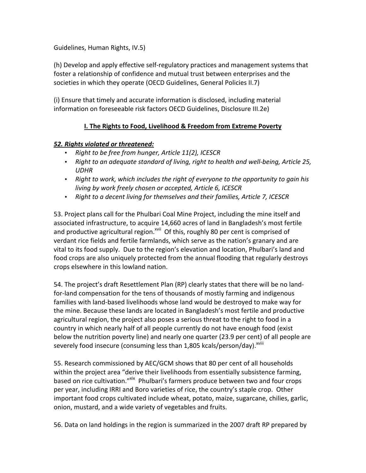Guidelines, Human Rights, IV.5)

(h) Develop and apply effective self-regulatory practices and management systems that foster a relationship of confidence and mutual trust between enterprises and the societies in which they operate (OECD Guidelines, General Policies II.7)

(i) Ensure that timely and accurate information is disclosed, including material information on foreseeable risk factors OECD Guidelines, Disclosure III.2e)

## **I. The Rights to Food, Livelihood & Freedom from Extreme Poverty**

### **52. Rights violated or threatened:**

- Right to be free from hunger, Article 11(2), ICESCR
- Right to an adequate standard of living, right to health and well-being, Article 25, *UDHR*
- Right to work, which includes the right of everyone to the opportunity to gain his *living by work freely chosen or accepted, Article 6, ICESCR*
- Right to a decent living for themselves and their families, Article 7, ICESCR

53. Project plans call for the Phulbari Coal Mine Project, including the mine itself and associated infrastructure, to acquire 14,660 acres of land in Bangladesh's most fertile and productive agricultural region.<sup>xvii</sup> Of this, roughly 80 per cent is comprised of verdant rice fields and fertile farmlands, which serve as the nation's granary and are vital to its food supply. Due to the region's elevation and location, Phulbari's land and food crops are also uniquely protected from the annual flooding that regularly destroys crops elsewhere in this lowland nation.

54. The project's draft Resettlement Plan (RP) clearly states that there will be no landfor-land compensation for the tens of thousands of mostly farming and indigenous families with land-based livelihoods whose land would be destroyed to make way for the mine. Because these lands are located in Bangladesh's most fertile and productive agricultural region, the project also poses a serious threat to the right to food in a country in which nearly half of all people currently do not have enough food (exist below the nutrition poverty line) and nearly one quarter (23.9 per cent) of all people are severely food insecure (consuming less than 1,805 kcals/person/day).<sup>xviii</sup>

55. Research commissioned by AEC/GCM shows that 80 per cent of all households within the project area "derive their livelihoods from essentially subsistence farming, based on rice cultivation."<sup>xix</sup> Phulbari's farmers produce between two and four crops per year, including IRRI and Boro varieties of rice, the country's staple crop. Other important food crops cultivated include wheat, potato, maize, sugarcane, chilies, garlic, onion, mustard, and a wide variety of vegetables and fruits.

56. Data on land holdings in the region is summarized in the 2007 draft RP prepared by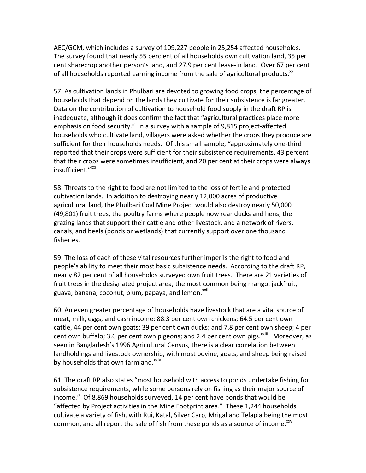AEC/GCM, which includes a survey of 109,227 people in 25,254 affected households. The survey found that nearly 55 perc ent of all households own cultivation land, 35 per cent sharecrop another person's land, and 27.9 per cent lease-in land. Over 67 per cent of all households reported earning income from the sale of agricultural products. $x^2$ 

57. As cultivation lands in Phulbari are devoted to growing food crops, the percentage of households that depend on the lands they cultivate for their subsistence is far greater. Data on the contribution of cultivation to household food supply in the draft RP is inadequate, although it does confirm the fact that "agricultural practices place more emphasis on food security." In a survey with a sample of 9,815 project-affected households who cultivate land, villagers were asked whether the crops they produce are sufficient for their households needs. Of this small sample, "approximately one-third reported that their crops were sufficient for their subsistence requirements, 43 percent that their crops were sometimes insufficient, and 20 per cent at their crops were always insufficient."<sup>xxi</sup>

58. Threats to the right to food are not limited to the loss of fertile and protected cultivation lands. In addition to destroying nearly 12,000 acres of productive agricultural land, the Phulbari Coal Mine Project would also destroy nearly 50,000 (49,801) fruit trees, the poultry farms where people now rear ducks and hens, the grazing lands that support their cattle and other livestock, and a network of rivers, canals, and beels (ponds or wetlands) that currently support over one thousand fisheries.

59. The loss of each of these vital resources further imperils the right to food and people's ability to meet their most basic subsistence needs. According to the draft RP, nearly 82 per cent of all households surveyed own fruit trees. There are 21 varieties of fruit trees in the designated project area, the most common being mango, jackfruit, guava, banana, coconut, plum, papaya, and lemon.<sup>xxii</sup>

60. An even greater percentage of households have livestock that are a vital source of meat, milk, eggs, and cash income: 88.3 per cent own chickens; 64.5 per cent own cattle, 44 per cent own goats; 39 per cent own ducks; and 7.8 per cent own sheep; 4 per cent own buffalo; 3.6 per cent own pigeons; and 2.4 per cent own pigs.<sup>xxiii</sup> Moreover, as seen in Bangladesh's 1996 Agricultural Census, there is a clear correlation between landholdings and livestock ownership, with most bovine, goats, and sheep being raised by households that own farmland.<sup>xxiv</sup>

61. The draft RP also states "most household with access to ponds undertake fishing for subsistence requirements, while some persons rely on fishing as their major source of income." Of 8,869 households surveyed, 14 per cent have ponds that would be "affected by Project activities in the Mine Footprint area." These 1,244 households cultivate a variety of fish, with Rui, Katal, Silver Carp, Mrigal and Telapia being the most common, and all report the sale of fish from these ponds as a source of income.<sup>xxv</sup>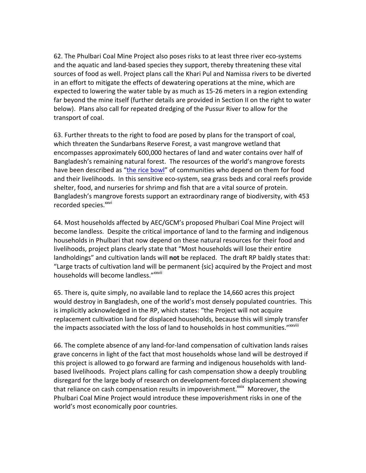62. The Phulbari Coal Mine Project also poses risks to at least three river eco-systems and the aquatic and land-based species they support, thereby threatening these vital sources of food as well. Project plans call the Khari Pul and Namissa rivers to be diverted in an effort to mitigate the effects of dewatering operations at the mine, which are expected to lowering the water table by as much as 15-26 meters in a region extending far beyond the mine itself (further details are provided in Section II on the right to water below). Plans also call for repeated dredging of the Pussur River to allow for the transport of coal.

63. Further threats to the right to food are posed by plans for the transport of coal, which threaten the Sundarbans Reserve Forest, a vast mangrove wetland that encompasses approximately 600,000 hectares of land and water contains over half of Bangladesh's remaining natural forest. The resources of the world's mangrove forests have been described as "the rice bowl" of communities who depend on them for food and their livelihoods. In this sensitive eco-system, sea grass beds and coral reefs provide shelter, food, and nurseries for shrimp and fish that are a vital source of protein. Bangladesh's mangrove forests support an extraordinary range of biodiversity, with 453 recorded species.<sup>xxvi</sup>

64. Most households affected by AEC/GCM's proposed Phulbari Coal Mine Project will become landless. Despite the critical importance of land to the farming and indigenous households in Phulbari that now depend on these natural resources for their food and livelihoods, project plans clearly state that "Most households will lose their entire landholdings" and cultivation lands will not be replaced. The draft RP baldly states that: "Large tracts of cultivation land will be permanent  ${sic}$  acquired by the Project and most households will become landless." xxvii

65. There is, quite simply, no available land to replace the  $14,660$  acres this project would destroy in Bangladesh, one of the world's most densely populated countries. This is implicitly acknowledged in the RP, which states: "the Project will not acquire replacement cultivation land for displaced households, because this will simply transfer the impacts associated with the loss of land to households in host communities." xxviii

66. The complete absence of any land-for-land compensation of cultivation lands raises grave concerns in light of the fact that most households whose land will be destroyed if this project is allowed to go forward are farming and indigenous households with landbased livelihoods. Project plans calling for cash compensation show a deeply troubling disregard for the large body of research on development-forced displacement showing that reliance on cash compensation results in impoverishment.<sup>xxix</sup> Moreover, the Phulbari Coal Mine Project would introduce these impoverishment risks in one of the world's most economically poor countries.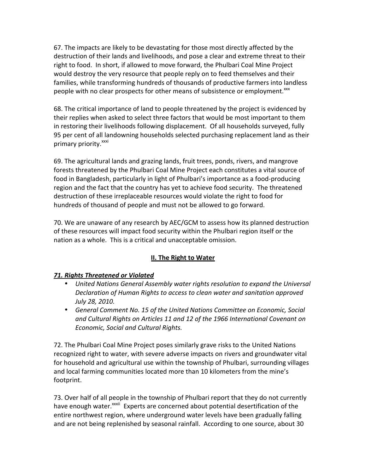67. The impacts are likely to be devastating for those most directly affected by the destruction of their lands and livelihoods, and pose a clear and extreme threat to their right to food. In short, if allowed to move forward, the Phulbari Coal Mine Project would destroy the very resource that people reply on to feed themselves and their families, while transforming hundreds of thousands of productive farmers into landless people with no clear prospects for other means of subsistence or employment.<sup>xxx</sup>

68. The critical importance of land to people threatened by the project is evidenced by their replies when asked to select three factors that would be most important to them in restoring their livelihoods following displacement. Of all households surveyed, fully 95 per cent of all landowning households selected purchasing replacement land as their primary priority.<sup>xxxi</sup>

69. The agricultural lands and grazing lands, fruit trees, ponds, rivers, and mangrove forests threatened by the Phulbari Coal Mine Project each constitutes a vital source of food in Bangladesh, particularly in light of Phulbari's importance as a food-producing region and the fact that the country has yet to achieve food security. The threatened destruction of these irreplaceable resources would violate the right to food for hundreds of thousand of people and must not be allowed to go forward.

70. We are unaware of any research by AEC/GCM to assess how its planned destruction of these resources will impact food security within the Phulbari region itself or the nation as a whole. This is a critical and unacceptable omission.

# **II. The Right to Water**

### **71. Rights Threatened or Violated**

- *United Nations General Assembly water rights resolution to expand the Universal Declaration of Human Rights to access to clean water and sanitation approved July 28, 2010.*
- General Comment No. 15 of the United Nations Committee on Economic, Social and Cultural Rights on Articles 11 and 12 of the 1966 International Covenant on *Economic, Social and Cultural Rights.*

72. The Phulbari Coal Mine Project poses similarly grave risks to the United Nations recognized right to water, with severe adverse impacts on rivers and groundwater vital for household and agricultural use within the township of Phulbari, surrounding villages and local farming communities located more than 10 kilometers from the mine's footprint.

73. Over half of all people in the township of Phulbari report that they do not currently have enough water.<sup>xxxii</sup> Experts are concerned about potential desertification of the entire northwest region, where underground water levels have been gradually falling and are not being replenished by seasonal rainfall. According to one source, about 30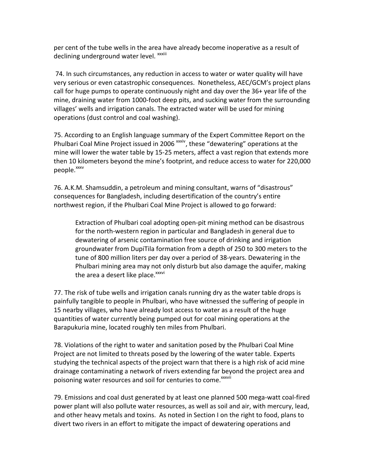per cent of the tube wells in the area have already become inoperative as a result of declining underground water level. xxxiii

74. In such circumstances, any reduction in access to water or water quality will have very serious or even catastrophic consequences. Nonetheless, AEC/GCM's project plans call for huge pumps to operate continuously night and day over the  $36+$  year life of the mine, draining water from 1000-foot deep pits, and sucking water from the surrounding villages' wells and irrigation canals. The extracted water will be used for mining operations (dust control and coal washing).

75. According to an English language summary of the Expert Committee Report on the Phulbari Coal Mine Project issued in 2006<sup>xxxiv</sup>, these "dewatering" operations at the mine will lower the water table by 15-25 meters, affect a vast region that extends more then 10 kilometers beyond the mine's footprint, and reduce access to water for 220,000 people.<sup>xxxv</sup>

76. A.K.M. Shamsuddin, a petroleum and mining consultant, warns of "disastrous" consequences for Bangladesh, including desertification of the country's entire northwest region, if the Phulbari Coal Mine Project is allowed to go forward:

Extraction of Phulbari coal adopting open-pit mining method can be disastrous for the north-western region in particular and Bangladesh in general due to dewatering of arsenic contamination free source of drinking and irrigation groundwater from DupiTila formation from a depth of 250 to 300 meters to the tune of 800 million liters per day over a period of 38-years. Dewatering in the Phulbari mining area may not only disturb but also damage the aquifer, making the area a desert like place.<sup>xxxvi</sup>

77. The risk of tube wells and irrigation canals running dry as the water table drops is painfully tangible to people in Phulbari, who have witnessed the suffering of people in 15 nearby villages, who have already lost access to water as a result of the huge quantities of water currently being pumped out for coal mining operations at the Barapukuria mine, located roughly ten miles from Phulbari.

78. Violations of the right to water and sanitation posed by the Phulbari Coal Mine Project are not limited to threats posed by the lowering of the water table. Experts studying the technical aspects of the project warn that there is a high risk of acid mine drainage contaminating a network of rivers extending far beyond the project area and poisoning water resources and soil for centuries to come.<sup>xxxvii</sup>

79. Emissions and coal dust generated by at least one planned 500 mega-watt coal-fired power plant will also pollute water resources, as well as soil and air, with mercury, lead, and other heavy metals and toxins. As noted in Section I on the right to food, plans to divert two rivers in an effort to mitigate the impact of dewatering operations and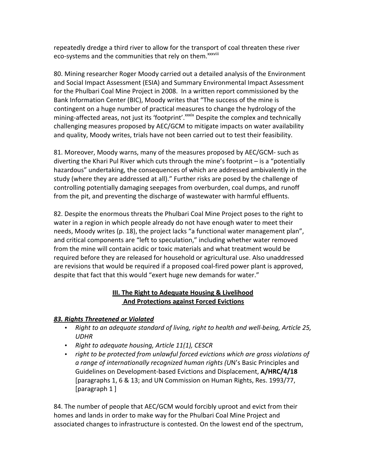repeatedly dredge a third river to allow for the transport of coal threaten these river eco-systems and the communities that rely on them.<sup>xxxviii</sup>

80. Mining researcher Roger Moody carried out a detailed analysis of the Environment and Social Impact Assessment (ESIA) and Summary Environmental Impact Assessment for the Phulbari Coal Mine Project in 2008. In a written report commissioned by the Bank Information Center (BIC), Moody writes that "The success of the mine is contingent on a huge number of practical measures to change the hydrology of the mining-affected areas, not just its 'footprint'. XXXIX Despite the complex and technically challenging measures proposed by AEC/GCM to mitigate impacts on water availability and quality, Moody writes, trials have not been carried out to test their feasibility.

81. Moreover, Moody warns, many of the measures proposed by AEC/GCM- such as diverting the Khari Pul River which cuts through the mine's footprint – is a "potentially" hazardous" undertaking, the consequences of which are addressed ambivalently in the study (where they are addressed at all)." Further risks are posed by the challenge of controlling potentially damaging seepages from overburden, coal dumps, and runoff from the pit, and preventing the discharge of wastewater with harmful effluents.

82. Despite the enormous threats the Phulbari Coal Mine Project poses to the right to water in a region in which people already do not have enough water to meet their needs, Moody writes (p. 18), the project lacks "a functional water management plan", and critical components are "left to speculation," including whether water removed from the mine will contain acidic or toxic materials and what treatment would be required before they are released for household or agricultural use. Also unaddressed are revisions that would be required if a proposed coal-fired power plant is approved, despite that fact that this would "exert huge new demands for water."

### **III. The Right to Adequate Housing & Livelihood And Protections against Forced Evictions**

### *83.\$Rights\$Threatened\$or\$Violated*

- Right to an adequate standard of living, right to health and well-being, Article 25, *UDHR*
- Right to adequate housing, Article 11(1), CESCR
- *right to be protected from unlawful forced evictions which are gross violations of* a range of internationally recognized human rights (UN's Basic Principles and Guidelines on Development-based Evictions and Displacement, A/HRC/4/18 [paragraphs 1, 6 & 13; and UN Commission on Human Rights, Res. 1993/77, [paragraph 1 ]

84. The number of people that AEC/GCM would forcibly uproot and evict from their homes and lands in order to make way for the Phulbari Coal Mine Project and associated changes to infrastructure is contested. On the lowest end of the spectrum,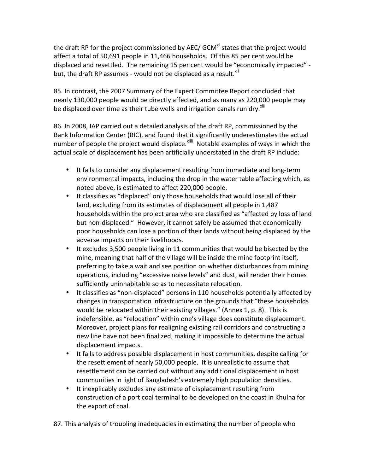the draft RP for the project commissioned by AEC/ GCM $^{\text{at}}$  states that the project would affect a total of 50,691 people in 11,466 households. Of this 85 per cent would be displaced and resettled. The remaining 15 per cent would be "economically impacted" but, the draft RP assumes - would not be displaced as a result.<sup>xli</sup>

85. In contrast, the 2007 Summary of the Expert Committee Report concluded that nearly 130,000 people would be directly affected, and as many as 220,000 people may be displaced over time as their tube wells and irrigation canals run dry. $x_{\text{min}}$ 

86. In 2008, IAP carried out a detailed analysis of the draft RP, commissioned by the Bank Information Center (BIC), and found that it significantly underestimates the actual number of people the project would displace.<sup>xliii</sup> Notable examples of ways in which the actual scale of displacement has been artificially understated in the draft RP include:

- It fails to consider any displacement resulting from immediate and long-term environmental impacts, including the drop in the water table affecting which, as noted above, is estimated to affect 220,000 people.
- It classifies as "displaced" only those households that would lose all of their land, excluding from its estimates of displacement all people in 1,487 households within the project area who are classified as "affected by loss of land but non-displaced." However, it cannot safely be assumed that economically poor households can lose a portion of their lands without being displaced by the adverse impacts on their livelihoods.
- It excludes 3,500 people living in 11 communities that would be bisected by the mine, meaning that half of the village will be inside the mine footprint itself, preferring to take a wait and see position on whether disturbances from mining operations, including "excessive noise levels" and dust, will render their homes sufficiently uninhabitable so as to necessitate relocation.
- It classifies as "non-displaced" persons in 110 households potentially affected by changes in transportation infrastructure on the grounds that "these households would be relocated within their existing villages." (Annex 1, p. 8). This is indefensible, as "relocation" within one's village does constitute displacement. Moreover, project plans for realigning existing rail corridors and constructing a new line have not been finalized, making it impossible to determine the actual displacement impacts.
- It fails to address possible displacement in host communities, despite calling for the resettlement of nearly 50,000 people. It is unrealistic to assume that resettlement can be carried out without any additional displacement in host communities in light of Bangladesh's extremely high population densities.
- It inexplicably excludes any estimate of displacement resulting from construction of a port coal terminal to be developed on the coast in Khulna for the export of coal.

87. This analysis of troubling inadequacies in estimating the number of people who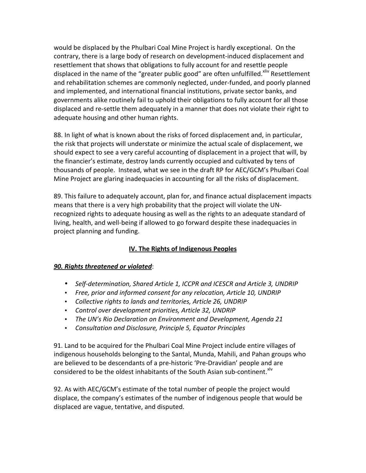would be displaced by the Phulbari Coal Mine Project is hardly exceptional. On the contrary, there is a large body of research on development-induced displacement and resettlement that shows that obligations to fully account for and resettle people displaced in the name of the "greater public good" are often unfulfilled.<sup>xliv</sup> Resettlement and rehabilitation schemes are commonly neglected, under-funded, and poorly planned and implemented, and international financial institutions, private sector banks, and governments alike routinely fail to uphold their obligations to fully account for all those displaced and re-settle them adequately in a manner that does not violate their right to adequate housing and other human rights.

88. In light of what is known about the risks of forced displacement and, in particular, the risk that projects will understate or minimize the actual scale of displacement, we should expect to see a very careful accounting of displacement in a project that will, by the financier's estimate, destroy lands currently occupied and cultivated by tens of thousands of people. Instead, what we see in the draft RP for AEC/GCM's Phulbari Coal Mine Project are glaring inadequacies in accounting for all the risks of displacement.

89. This failure to adequately account, plan for, and finance actual displacement impacts means that there is a very high probability that the project will violate the UNrecognized rights to adequate housing as well as the rights to an adequate standard of living, health, and well-being if allowed to go forward despite these inadequacies in project planning and funding.

# **IV. The Rights of Indigenous Peoples**

### **90. Rights threatened or violated:**

- Self-determination, Shared Article 1, ICCPR and ICESCR and Article 3, UNDRIP
- Free, prior and informed consent for any relocation, Article 10, UNDRIP
- Collective rights to lands and territories, Article 26, UNDRIP
- Control over development priorities, Article 32, UNDRIP
- The UN's Rio Declaration on Environment and Development, Agenda 21
- Consultation and Disclosure, Principle 5, Equator Principles

91. Land to be acquired for the Phulbari Coal Mine Project include entire villages of indigenous households belonging to the Santal, Munda, Mahili, and Pahan groups who are believed to be descendants of a pre-historic 'Pre-Dravidian' people and are considered to be the oldest inhabitants of the South Asian sub-continent.<sup>Xlv</sup>

92. As with AEC/GCM's estimate of the total number of people the project would displace, the company's estimates of the number of indigenous people that would be displaced are vague, tentative, and disputed.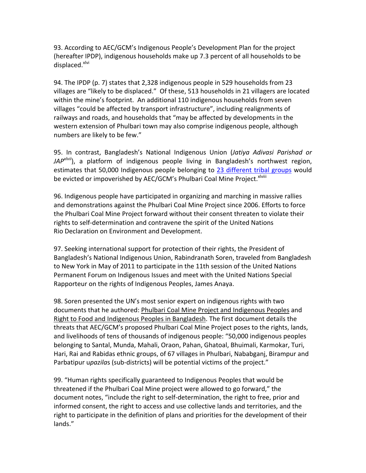93. According to AEC/GCM's Indigenous People's Development Plan for the project (hereafter IPDP), indigenous households make up 7.3 percent of all households to be displaced.<sup>xlvi</sup>

94. The IPDP (p. 7) states that 2,328 indigenous people in 529 households from 23 villages are "likely to be displaced." Of these, 513 households in 21 villagers are located within the mine's footprint. An additional 110 indigenous households from seven villages "could be affected by transport infrastructure", including realignments of railways and roads, and households that "may be affected by developments in the western extension of Phulbari town may also comprise indigenous people, although numbers are likely to be few."

95. In contrast, Bangladesh's National Indigenous Union (Jatiya Adivasi Parishad or *JAP<sup>xlvii</sup>*), a platform of indigenous people living in Bangladesh's northwest region, estimates that 50,000 Indigenous people belonging to 23 different tribal groups would be evicted or impoverished by AEC/GCM's Phulbari Coal Mine Project.<sup>xlviii</sup>

96. Indigenous people have participated in organizing and marching in massive rallies and demonstrations against the Phulbari Coal Mine Project since 2006. Efforts to force the Phulbari Coal Mine Project forward without their consent threaten to violate their rights to self-determination and contravene the spirit of the United Nations Rio Declaration on Environment and Development.

97. Seeking international support for protection of their rights, the President of Bangladesh's National Indigenous Union, Rabindranath Soren, traveled from Bangladesh to New York in May of 2011 to participate in the 11th session of the United Nations Permanent Forum on Indigenous Issues and meet with the United Nations Special Rapporteur on the rights of Indigenous Peoples, James Anaya.

98. Soren presented the UN's most senior expert on indigenous rights with two documents that he authored: Phulbari Coal Mine Project and Indigenous Peoples and Right to Food and Indigenous Peoples in Bangladesh. The first document details the threats that AEC/GCM's proposed Phulbari Coal Mine Project poses to the rights, lands, and livelihoods of tens of thousands of indigenous people: "50,000 indigenous peoples belonging to Santal, Munda, Mahali, Oraon, Pahan, Ghatoal, Bhuimali, Karmokar, Turi, Hari, Rai and Rabidas ethnic groups, of 67 villages in Phulbari, Nababganj, Birampur and Parbatipur upazilas (sub-districts) will be potential victims of the project."

99. "Human rights specifically guaranteed to Indigenous Peoples that would be threatened if the Phulbari Coal Mine project were allowed to go forward," the document notes, "include the right to self-determination, the right to free, prior and informed consent, the right to access and use collective lands and territories, and the right to participate in the definition of plans and priorities for the development of their lands."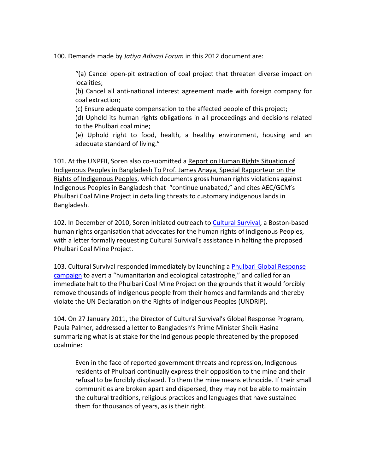100. Demands made by *Jatiya Adivasi Forum* in this 2012 document are:

"(a) Cancel open-pit extraction of coal project that threaten diverse impact on localities;

(b) Cancel all anti-national interest agreement made with foreign company for coal extraction;

(c) Ensure adequate compensation to the affected people of this project;

(d) Uphold its human rights obligations in all proceedings and decisions related to the Phulbari coal mine:

(e) Uphold right to food, health, a healthy environment, housing and an adequate standard of living."

101. At the UNPFII, Soren also co-submitted a Report on Human Rights Situation of Indigenous Peoples in Bangladesh To Prof. James Anaya, Special Rapporteur on the Rights of Indigenous Peoples, which documents gross human rights violations against Indigenous Peoples in Bangladesh that "continue unabated," and cites AEC/GCM's Phulbari Coal Mine Project in detailing threats to customary indigenous lands in Bangladesh.

102. In December of 2010, Soren initiated outreach to Cultural Survival, a Boston-based human rights organisation that advocates for the human rights of indigenous Peoples, with a letter formally requesting Cultural Survival's assistance in halting the proposed Phulbari Coal Mine Project.

103. Cultural Survival responded immediately by launching a Phulbari Global Response campaign to avert a "humanitarian and ecological catastrophe," and called for an immediate halt to the Phulbari Coal Mine Project on the grounds that it would forcibly remove thousands of indigenous people from their homes and farmlands and thereby violate the UN Declaration on the Rights of Indigenous Peoples (UNDRIP).

104. On 27 January 2011, the Director of Cultural Survival's Global Response Program, Paula Palmer, addressed a letter to Bangladesh's Prime Minister Sheik Hasina summarizing what is at stake for the indigenous people threatened by the proposed coalmine:

Even in the face of reported government threats and repression, Indigenous residents of Phulbari continually express their opposition to the mine and their refusal to be forcibly displaced. To them the mine means ethnocide. If their small communities are broken apart and dispersed, they may not be able to maintain the cultural traditions, religious practices and languages that have sustained them for thousands of years, as is their right.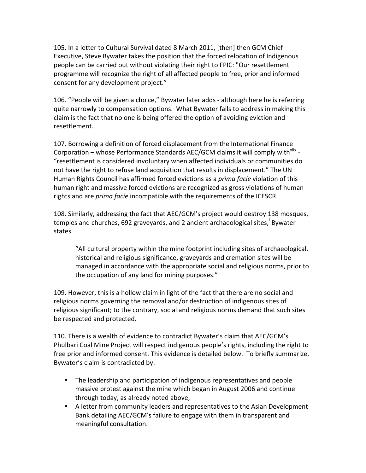105. In a letter to Cultural Survival dated 8 March 2011, [then] then GCM Chief Executive, Steve Bywater takes the position that the forced relocation of Indigenous people can be carried out without violating their right to FPIC: "Our resettlement programme will recognize the right of all affected people to free, prior and informed consent for any development project."

106. "People will be given a choice," Bywater later adds - although here he is referring quite narrowly to compensation options. What Bywater fails to address in making this claim is the fact that no one is being offered the option of avoiding eviction and resettlement.

107. Borrowing a definition of forced displacement from the International Finance Corporation – whose Performance Standards AEC/GCM claims it will comply with<sup>xlix</sup> -"resettlement is considered involuntary when affected individuals or communities do not have the right to refuse land acquisition that results in displacement." The UN Human Rights Council has affirmed forced evictions as a *prima facie* violation of this human right and massive forced evictions are recognized as gross violations of human rights and are *prima facie* incompatible with the requirements of the ICESCR

108. Similarly, addressing the fact that AEC/GCM's project would destroy 138 mosques, temples and churches, 692 graveyards, and 2 ancient archaeological sites,<sup>'</sup> Bywater states

"All cultural property within the mine footprint including sites of archaeological, historical and religious significance, graveyards and cremation sites will be managed in accordance with the appropriate social and religious norms, prior to the occupation of any land for mining purposes."

109. However, this is a hollow claim in light of the fact that there are no social and religious norms governing the removal and/or destruction of indigenous sites of religious significant; to the contrary, social and religious norms demand that such sites be respected and protected.

110. There is a wealth of evidence to contradict Bywater's claim that AEC/GCM's Phulbari Coal Mine Project will respect indigenous people's rights, including the right to free prior and informed consent. This evidence is detailed below. To briefly summarize, Bywater's claim is contradicted by:

- The leadership and participation of indigenous representatives and people massive protest against the mine which began in August 2006 and continue through today, as already noted above;
- A letter from community leaders and representatives to the Asian Development Bank detailing AEC/GCM's failure to engage with them in transparent and meaningful consultation.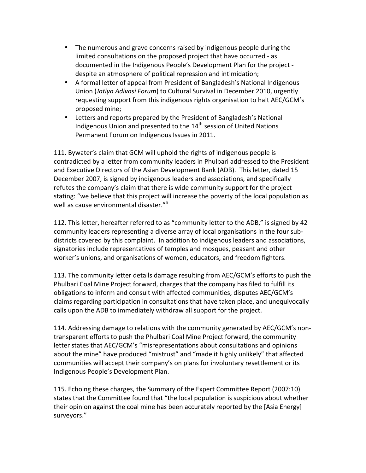- The numerous and grave concerns raised by indigenous people during the limited consultations on the proposed project that have occurred - as documented in the Indigenous People's Development Plan for the project despite an atmosphere of political repression and intimidation;
- A formal letter of appeal from President of Bangladesh's National Indigenous Union (Jatiya Adivasi Forum) to Cultural Survival in December 2010, urgently requesting support from this indigenous rights organisation to halt AEC/GCM's proposed mine;
- Letters and reports prepared by the President of Bangladesh's National Indigenous Union and presented to the 14<sup>th</sup> session of United Nations Permanent Forum on Indigenous Issues in 2011.

111. Bywater's claim that GCM will uphold the rights of indigenous people is contradicted by a letter from community leaders in Phulbari addressed to the President and Executive Directors of the Asian Development Bank (ADB). This letter, dated 15 December 2007, is signed by indigenous leaders and associations, and specifically refutes the company's claim that there is wide community support for the project stating: "we believe that this project will increase the poverty of the local population as well as cause environmental disaster."<sup>li</sup>

112. This letter, hereafter referred to as "community letter to the ADB," is signed by 42 community leaders representing a diverse array of local organisations in the four subdistricts covered by this complaint. In addition to indigenous leaders and associations, signatories include representatives of temples and mosques, peasant and other worker's unions, and organisations of women, educators, and freedom fighters.

113. The community letter details damage resulting from AEC/GCM's efforts to push the Phulbari Coal Mine Project forward, charges that the company has filed to fulfill its obligations to inform and consult with affected communities, disputes AEC/GCM's claims regarding participation in consultations that have taken place, and unequivocally calls upon the ADB to immediately withdraw all support for the project.

114. Addressing damage to relations with the community generated by AEC/GCM's nontransparent efforts to push the Phulbari Coal Mine Project forward, the community letter states that AEC/GCM's "misrepresentations about consultations and opinions about the mine" have produced "mistrust" and "made it highly unlikely" that affected communities will accept their company's on plans for involuntary resettlement or its Indigenous People's Development Plan.

115. Echoing these charges, the Summary of the Expert Committee Report (2007:10) states that the Committee found that "the local population is suspicious about whether their opinion against the coal mine has been accurately reported by the [Asia Energy] surveyors."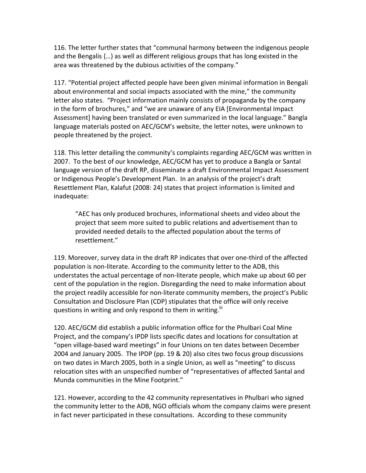116. The letter further states that "communal harmony between the indigenous people and the Bengalis  ${...}$  as well as different religious groups that has long existed in the area was threatened by the dubious activities of the company."

117. "Potential project affected people have been given minimal information in Bengali about environmental and social impacts associated with the mine," the community letter also states. "Project information mainly consists of propaganda by the company in the form of brochures," and "we are unaware of any EIA [Environmental Impact] Assessment] having been translated or even summarized in the local language." Bangla language materials posted on AEC/GCM's website, the letter notes, were unknown to people threatened by the project.

118. This letter detailing the community's complaints regarding AEC/GCM was written in 2007. To the best of our knowledge, AEC/GCM has yet to produce a Bangla or Santal language version of the draft RP, disseminate a draft Environmental Impact Assessment or Indigenous People's Development Plan. In an analysis of the project's draft Resettlement Plan, Kalafut (2008: 24) states that project information is limited and inadequate:

"AEC has only produced brochures, informational sheets and video about the project that seem more suited to public relations and advertisement than to provided needed details to the affected population about the terms of resettlement."

119. Moreover, survey data in the draft RP indicates that over one-third of the affected population is non-literate. According to the community letter to the ADB, this understates the actual percentage of non-literate people, which make up about 60 per cent of the population in the region. Disregarding the need to make information about the project readily accessible for non-literate community members, the project's Public Consultation and Disclosure Plan (CDP) stipulates that the office will only receive questions in writing and only respond to them in writing.<sup>III</sup>

120. AEC/GCM did establish a public information office for the Phulbari Coal Mine Project, and the company's IPDP lists specific dates and locations for consultation at "open village-based ward meetings" in four Unions on ten dates between December 2004 and January 2005. The IPDP (pp. 19 & 20) also cites two focus group discussions on two dates in March 2005, both in a single Union, as well as "meeting" to discuss relocation sites with an unspecified number of "representatives of affected Santal and Munda communities in the Mine Footprint."

121. However, according to the 42 community representatives in Phulbari who signed the community letter to the ADB, NGO officials whom the company claims were present in fact never participated in these consultations. According to these community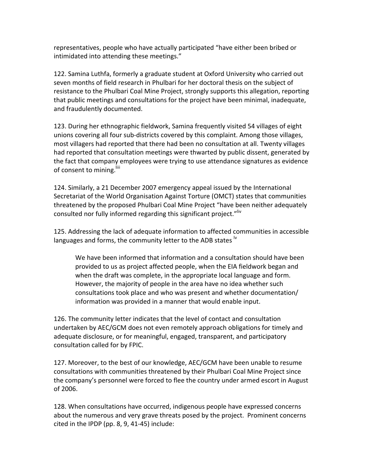representatives, people who have actually participated "have either been bribed or intimidated into attending these meetings."

122. Samina Luthfa, formerly a graduate student at Oxford University who carried out seven months of field research in Phulbari for her doctoral thesis on the subject of resistance to the Phulbari Coal Mine Project, strongly supports this allegation, reporting that public meetings and consultations for the project have been minimal, inadequate, and fraudulently documented.

123. During her ethnographic fieldwork, Samina frequently visited 54 villages of eight unions covering all four sub-districts covered by this complaint. Among those villages, most villagers had reported that there had been no consultation at all. Twenty villages had reported that consultation meetings were thwarted by public dissent, generated by the fact that company employees were trying to use attendance signatures as evidence of consent to mining.<sup>liii</sup>

124. Similarly, a 21 December 2007 emergency appeal issued by the International Secretariat of the World Organisation Against Torture (OMCT) states that communities threatened by the proposed Phulbari Coal Mine Project "have been neither adequately consulted nor fully informed regarding this significant project."liv

125. Addressing the lack of adequate information to affected communities in accessible languages and forms, the community letter to the ADB states <sup>lv</sup>

We have been informed that information and a consultation should have been provided to us as project affected people, when the EIA fieldwork began and when the draft was complete, in the appropriate local language and form. However, the majority of people in the area have no idea whether such consultations took place and who was present and whether documentation/ information was provided in a manner that would enable input.

126. The community letter indicates that the level of contact and consultation undertaken by AEC/GCM does not even remotely approach obligations for timely and adequate disclosure, or for meaningful, engaged, transparent, and participatory consultation called for by FPIC.

127. Moreover, to the best of our knowledge, AEC/GCM have been unable to resume consultations with communities threatened by their Phulbari Coal Mine Project since the company's personnel were forced to flee the country under armed escort in August of 2006.

128. When consultations have occurred, indigenous people have expressed concerns about the numerous and very grave threats posed by the project. Prominent concerns cited in the IPDP (pp. 8, 9, 41-45) include: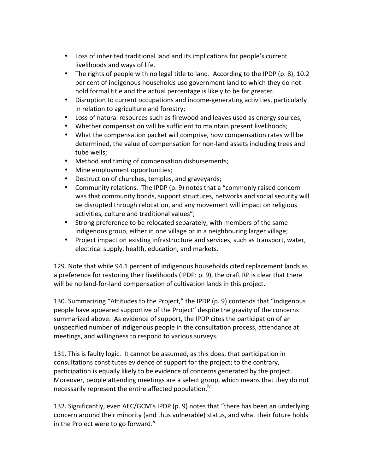- Loss of inherited traditional land and its implications for people's current livelihoods and ways of life.
- The rights of people with no legal title to land. According to the IPDP (p. 8), 10.2 per cent of indigenous households use government land to which they do not hold formal title and the actual percentage is likely to be far greater.
- Disruption to current occupations and income-generating activities, particularly in relation to agriculture and forestry;
- Loss of natural resources such as firewood and leaves used as energy sources;
- Whether compensation will be sufficient to maintain present livelihoods;
- What the compensation packet will comprise, how compensation rates will be determined, the value of compensation for non-land assets including trees and tube wells;
- Method and timing of compensation disbursements;
- Mine employment opportunities;
- Destruction of churches, temples, and graveyards;
- Community relations. The IPDP  $(p. 9)$  notes that a "commonly raised concern" was that community bonds, support structures, networks and social security will be disrupted through relocation, and any movement will impact on religious activities, culture and traditional values";
- Strong preference to be relocated separately, with members of the same indigenous group, either in one village or in a neighbouring larger village;
- Project impact on existing infrastructure and services, such as transport, water, electrical supply, health, education, and markets.

129. Note that while 94.1 percent of indigenous households cited replacement lands as a preference for restoring their livelihoods (IPDP: p. 9), the draft RP is clear that there will be no land-for-land compensation of cultivation lands in this project.

130. Summarizing "Attitudes to the Project," the IPDP (p. 9) contends that "indigenous people have appeared supportive of the Project" despite the gravity of the concerns summarized above. As evidence of support, the IPDP cites the participation of an unspecified number of indigenous people in the consultation process, attendance at meetings, and willingness to respond to various surveys.

131. This is faulty logic. It cannot be assumed, as this does, that participation in consultations constitutes evidence of support for the project; to the contrary, participation is equally likely to be evidence of concerns generated by the project. Moreover, people attending meetings are a select group, which means that they do not necessarily represent the entire affected population.<sup>Ivi</sup>

132. Significantly, even AEC/GCM's IPDP (p. 9) notes that "there has been an underlying concern around their minority (and thus vulnerable) status, and what their future holds in the Project were to go forward."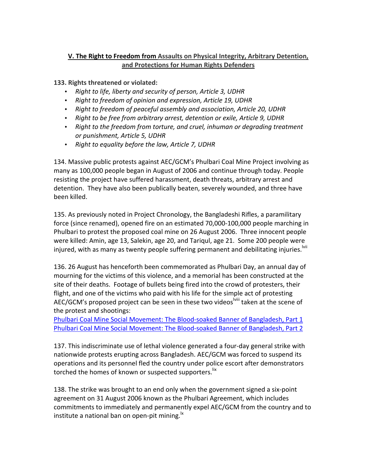## **V. The Right to Freedom from Assaults on Physical Integrity, Arbitrary Detention,** and Protections for Human Rights Defenders

**133. Rights threatened or violated:** 

- Right to life, liberty and security of person, Article 3, UDHR
- Right to freedom of opinion and expression, Article 19, UDHR
- Right to freedom of peaceful assembly and association, Article 20, UDHR
- Right to be free from arbitrary arrest, detention or exile, Article 9, UDHR
- Right to the freedom from torture, and cruel, inhuman or degrading treatment *or punishment,(Article(5,(UDHR*
- Right to equality before the law, Article 7, UDHR

134. Massive public protests against AEC/GCM's Phulbari Coal Mine Project involving as many as 100,000 people began in August of 2006 and continue through today. People resisting the project have suffered harassment, death threats, arbitrary arrest and detention. They have also been publically beaten, severely wounded, and three have been killed.

135. As previously noted in Project Chronology, the Bangladeshi Rifles, a paramilitary force (since renamed), opened fire on an estimated 70,000-100,000 people marching in Phulbari to protest the proposed coal mine on 26 August 2006. Three innocent people were killed: Amin, age 13, Salekin, age 20, and Tariqul, age 21. Some 200 people were injured, with as many as twenty people suffering permanent and debilitating injuries.<sup>Ivii</sup>

136. 26 August has henceforth been commemorated as Phulbari Day, an annual day of mourning for the victims of this violence, and a memorial has been constructed at the site of their deaths. Footage of bullets being fired into the crowd of protesters, their flight, and one of the victims who paid with his life for the simple act of protesting AEC/GCM's proposed project can be seen in these two videos vilii taken at the scene of the protest and shootings:

Phulbari Coal Mine Social Movement: The Blood-soaked Banner of Bangladesh, Part 1 Phulbari Coal Mine Social Movement: The Blood-soaked Banner of Bangladesh, Part 2

137. This indiscriminate use of lethal violence generated a four-day general strike with nationwide protests erupting across Bangladesh. AEC/GCM was forced to suspend its operations and its personnel fled the country under police escort after demonstrators torched the homes of known or suspected supporters.<sup>lix</sup>

138. The strike was brought to an end only when the government signed a six-point agreement on 31 August 2006 known as the Phulbari Agreement, which includes commitments to immediately and permanently expel AEC/GCM from the country and to institute a national ban on open-pit mining.  $\mathsf{I}^{\mathsf{k}}$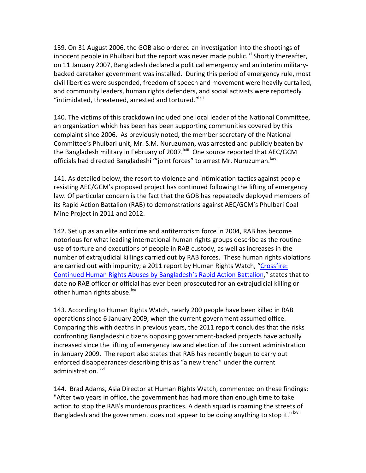139. On 31 August 2006, the GOB also ordered an investigation into the shootings of innocent people in Phulbari but the report was never made public.<sup>|xi</sup> Shortly thereafter, on 11 January 2007, Bangladesh declared a political emergency and an interim militarybacked caretaker government was installed. During this period of emergency rule, most civil liberties were suspended, freedom of speech and movement were heavily curtailed, and community leaders, human rights defenders, and social activists were reportedly "intimidated, threatened, arrested and tortured."<sup>Ixii</sup>

140. The victims of this crackdown included one local leader of the National Committee, an organization which has been has been supporting communities covered by this complaint since 2006. As previously noted, the member secretary of the National Committee's Phulbari unit, Mr. S.M. Nuruzuman, was arrested and publicly beaten by the Bangladesh military in February of 2007. Kiii One source reported that AEC/GCM officials had directed Bangladeshi "'joint forces" to arrest Mr. Nuruzuman. Niv

141. As detailed below, the resort to violence and intimidation tactics against people resisting AEC/GCM's proposed project has continued following the lifting of emergency law. Of particular concern is the fact that the GOB has repeatedly deployed members of its Rapid Action Battalion (RAB) to demonstrations against AEC/GCM's Phulbari Coal Mine Project in 2011 and 2012.

142. Set up as an elite anticrime and antiterrorism force in 2004, RAB has become notorious for what leading international human rights groups describe as the routine use of torture and executions of people in RAB custody, as well as increases in the number of extrajudicial killings carried out by RAB forces. These human rights violations are carried out with impunity; a 2011 report by Human Rights Watch, "Crossfire: Continued Human Rights Abuses by Bangladesh's Rapid Action Battalion," states that to date no RAB officer or official has ever been prosecuted for an extrajudicial killing or other human rights abuse.<sup>lxv</sup>

143. According to Human Rights Watch, nearly 200 people have been killed in RAB operations since 6 January 2009, when the current government assumed office. Comparing this with deaths in previous years, the 2011 report concludes that the risks confronting Bangladeshi citizens opposing government-backed projects have actually increased since the lifting of emergency law and election of the current administration in January 2009. The report also states that RAB has recently begun to carry out enforced disappearances' describing this as "a new trend" under the current administration.<sup>lxvi</sup>

144. Brad Adams, Asia Director at Human Rights Watch, commented on these findings: "After two years in office, the government has had more than enough time to take action to stop the RAB's murderous practices. A death squad is roaming the streets of Bangladesh and the government does not appear to be doing anything to stop it." Ixvii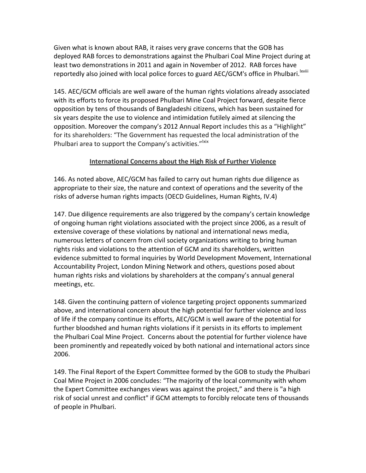Given what is known about RAB, it raises very grave concerns that the GOB has deployed RAB forces to demonstrations against the Phulbari Coal Mine Project during at least two demonstrations in 2011 and again in November of 2012. RAB forces have reportedly also joined with local police forces to guard AEC/GCM's office in Phulbari.<sup>Ixviii</sup>

145. AEC/GCM officials are well aware of the human rights violations already associated with its efforts to force its proposed Phulbari Mine Coal Project forward, despite fierce opposition by tens of thousands of Bangladeshi citizens, which has been sustained for six years despite the use to violence and intimidation futilely aimed at silencing the opposition. Moreover the company's 2012 Annual Report includes this as a "Highlight" for its shareholders: "The Government has requested the local administration of the Phulbari area to support the Company's activities."<sup>Ixix</sup>

#### **International Concerns about the High Risk of Further Violence**

146. As noted above, AEC/GCM has failed to carry out human rights due diligence as appropriate to their size, the nature and context of operations and the severity of the risks of adverse human rights impacts (OECD Guidelines, Human Rights, IV.4)

147. Due diligence requirements are also triggered by the company's certain knowledge of ongoing human right violations associated with the project since 2006, as a result of extensive coverage of these violations by national and international news media, numerous letters of concern from civil society organizations writing to bring human rights risks and violations to the attention of GCM and its shareholders, written evidence submitted to formal inquiries by World Development Movement, International Accountability Project, London Mining Network and others, questions posed about human rights risks and violations by shareholders at the company's annual general meetings, etc.

148. Given the continuing pattern of violence targeting project opponents summarized above, and international concern about the high potential for further violence and loss of life if the company continue its efforts, AEC/GCM is well aware of the potential for further bloodshed and human rights violations if it persists in its efforts to implement the Phulbari Coal Mine Project. Concerns about the potential for further violence have been prominently and repeatedly voiced by both national and international actors since 2006.

149. The Final Report of the Expert Committee formed by the GOB to study the Phulbari Coal Mine Project in 2006 concludes: "The majority of the local community with whom the Expert Committee exchanges views was against the project," and there is "a high risk of social unrest and conflict" if GCM attempts to forcibly relocate tens of thousands of people in Phulbari.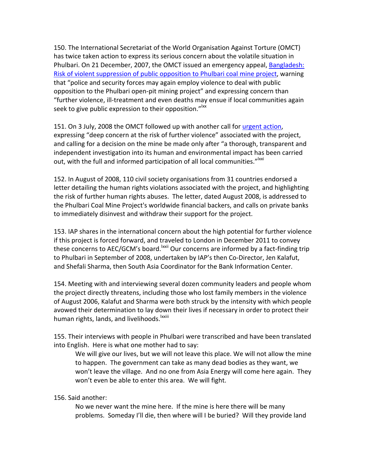150. The International Secretariat of the World Organisation Against Torture (OMCT) has twice taken action to express its serious concern about the volatile situation in Phulbari. On 21 December, 2007, the OMCT issued an emergency appeal, Bangladesh: Risk of violent suppression of public opposition to Phulbari coal mine project, warning that "police and security forces may again employ violence to deal with public opposition to the Phulbari open-pit mining project" and expressing concern than "further violence, ill-treatment and even deaths may ensue if local communities again seek to give public expression to their opposition."<sup>Ixx</sup>

151. On 3 July, 2008 the OMCT followed up with another call for urgent action, expressing "deep concern at the risk of further violence" associated with the project, and calling for a decision on the mine be made only after "a thorough, transparent and independent investigation into its human and environmental impact has been carried out, with the full and informed participation of all local communities."<sup>Ixxi</sup>

152. In August of 2008, 110 civil society organisations from 31 countries endorsed a letter detailing the human rights violations associated with the project, and highlighting the risk of further human rights abuses. The letter, dated August 2008, is addressed to the Phulbari Coal Mine Project's worldwide financial backers, and calls on private banks to immediately disinvest and withdraw their support for the project.

153. IAP shares in the international concern about the high potential for further violence if this project is forced forward, and traveled to London in December 2011 to convey these concerns to AEC/GCM's board.<sup>Ixxii</sup> Our concerns are informed by a fact-finding trip to Phulbari in September of 2008, undertaken by IAP's then Co-Director, Jen Kalafut, and Shefali Sharma, then South Asia Coordinator for the Bank Information Center.

154. Meeting with and interviewing several dozen community leaders and people whom the project directly threatens, including those who lost family members in the violence of August 2006, Kalafut and Sharma were both struck by the intensity with which people avowed their determination to lay down their lives if necessary in order to protect their human rights, lands, and livelihoods.<sup>Ixxiii</sup>

155. Their interviews with people in Phulbari were transcribed and have been translated into English. Here is what one mother had to say:

We will give our lives, but we will not leave this place. We will not allow the mine to happen. The government can take as many dead bodies as they want, we won't leave the village. And no one from Asia Energy will come here again. They won't even be able to enter this area. We will fight.

156. Said another:

No we never want the mine here. If the mine is here there will be many problems. Someday I'll die, then where will I be buried? Will they provide land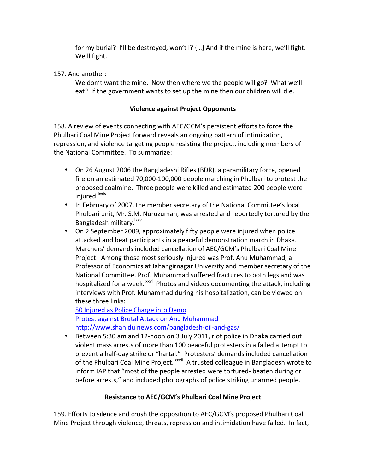for my burial? I'll be destroyed, won't I?  ${...}$  And if the mine is here, we'll fight. We'll fight.

157. And another:

We don't want the mine. Now then where we the people will go? What we'll eat? If the government wants to set up the mine then our children will die.

## **<u>Violence against Project Opponents</u>**

158. A review of events connecting with AEC/GCM's persistent efforts to force the Phulbari Coal Mine Project forward reveals an ongoing pattern of intimidation, repression, and violence targeting people resisting the project, including members of the National Committee. To summarize:

- On 26 August 2006 the Bangladeshi Rifles (BDR), a paramilitary force, opened fire on an estimated 70,000-100,000 people marching in Phulbari to protest the proposed coalmine. Three people were killed and estimated 200 people were injured.<sup>lxxiv</sup>
- In February of 2007, the member secretary of the National Committee's local Phulbari unit, Mr. S.M. Nuruzuman, was arrested and reportedly tortured by the Bangladesh military.<sup>Ixxv</sup>
- On 2 September 2009, approximately fifty people were injured when police attacked and beat participants in a peaceful demonstration march in Dhaka. Marchers' demands included cancellation of AEC/GCM's Phulbari Coal Mine Project. Among those most seriously injured was Prof. Anu Muhammad, a Professor of Economics at Jahangirnagar University and member secretary of the National Committee. Prof. Muhammad suffered fractures to both legs and was hospitalized for a week.<sup>Ixxvi</sup> Photos and videos documenting the attack, including interviews with Prof. Muhammad during his hospitalization, can be viewed on these three links:

50 Injured as Police Charge into Demo Protest against Brutal Attack on Anu Muhammad http://www.shahidulnews.com/bangladesh-oil-and-gas/

• Between 5:30 am and 12-noon on 3 July 2011, riot police in Dhaka carried out violent mass arrests of more than 100 peaceful protesters in a failed attempt to prevent a half-day strike or "hartal." Protesters' demands included cancellation of the Phulbari Coal Mine Project.<sup>Ixxvii</sup> A trusted colleague in Bangladesh wrote to inform IAP that "most of the people arrested were tortured- beaten during or before arrests," and included photographs of police striking unarmed people.

# **Resistance to AEC/GCM's Phulbari Coal Mine Project**

159. Efforts to silence and crush the opposition to AEC/GCM's proposed Phulbari Coal Mine Project through violence, threats, repression and intimidation have failed. In fact,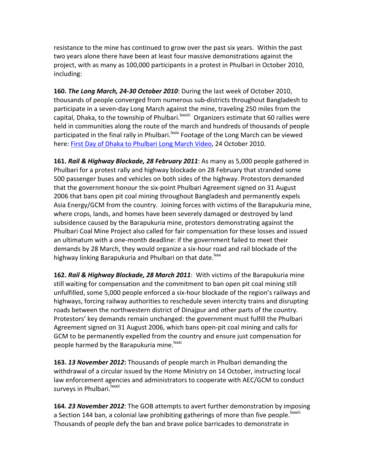resistance to the mine has continued to grow over the past six years. Within the past two vears alone there have been at least four massive demonstrations against the project, with as many as 100,000 participants in a protest in Phulbari in October 2010, including:

**160. The Long March, 24-30 October 2010**: During the last week of October 2010, thousands of people converged from numerous sub-districts throughout Bangladesh to participate in a seven-day Long March against the mine, traveling 250 miles from the capital, Dhaka, to the township of Phulbari.<sup>Ixxviii</sup> Organizers estimate that 60 rallies were held in communities along the route of the march and hundreds of thousands of people participated in the final rally in Phulbari.<sup>Ixxix</sup> Footage of the Long March can be viewed here: First Day of Dhaka to Phulbari Long March Video, 24 October 2010.

**161. Rail & Highway Blockade, 28 February 2011**: As many as 5,000 people gathered in Phulbari for a protest rally and highway blockade on 28 February that stranded some 500 passenger buses and vehicles on both sides of the highway. Protestors demanded that the government honour the six-point Phulbari Agreement signed on 31 August 2006 that bans open pit coal mining throughout Bangladesh and permanently expels Asia Energy/GCM from the country. Joining forces with victims of the Barapukuria mine, where crops, lands, and homes have been severely damaged or destroyed by land subsidence caused by the Barapukuria mine, protestors demonstrating against the Phulbari Coal Mine Project also called for fair compensation for these losses and issued an ultimatum with a one-month deadline: if the government failed to meet their demands by 28 March, they would organize a six-hour road and rail blockade of the highway linking Barapukuria and Phulbari on that date.<sup>lxxx</sup>

**162. Rail & Highway Blockade, 28 March 2011**: With victims of the Barapukuria mine still waiting for compensation and the commitment to ban open pit coal mining still unfulfilled, some 5,000 people enforced a six-hour blockade of the region's railways and highways, forcing railway authorities to reschedule seven intercity trains and disrupting roads between the northwestern district of Dinajpur and other parts of the country. Protestors' key demands remain unchanged: the government must fulfill the Phulbari Agreement signed on 31 August 2006, which bans open-pit coal mining and calls for GCM to be permanently expelled from the country and ensure just compensation for people harmed by the Barapukuria mine.<sup>lxxxi</sup>

**163. 13 November 2012:** Thousands of people march in Phulbari demanding the withdrawal of a circular issued by the Home Ministry on 14 October, instructing local law enforcement agencies and administrators to cooperate with AEC/GCM to conduct surveys in Phulbari. xxxii

**164***.* **23 November 2012**: The GOB attempts to avert further demonstration by imposing a Section 144 ban, a colonial law prohibiting gatherings of more than five people.<sup>Ixxxiii</sup> Thousands of people defy the ban and brave police barricades to demonstrate in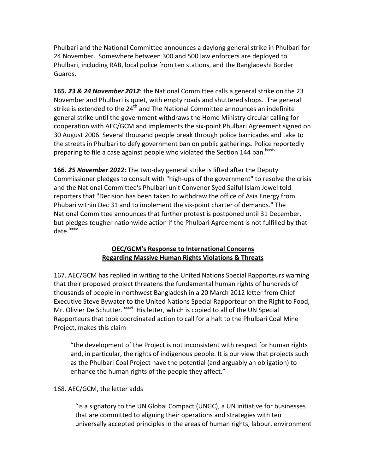Phulbari and the National Committee announces a daylong general strike in Phulbari for 24 November. Somewhere between 300 and 500 law enforcers are deployed to Phulbari, including RAB, local police from ten stations, and the Bangladeshi Border Guards.

**165. 23 & 24 November 2012**: the National Committee calls a general strike on the 23 November and Phulbari is quiet, with empty roads and shuttered shops. The general strike is extended to the 24<sup>th</sup> and The National Committee announces an indefinite general strike until the government withdraws the Home Ministry circular calling for cooperation with AEC/GCM and implements the six-point Phulbari Agreement signed on 30 August 2006. Several thousand people break through police barricades and take to the streets in Phulbari to defy government ban on public gatherings. Police reportedly preparing to file a case against people who violated the Section 144 ban. Ixxxiv

**166. 25 November 2012:** The two-day general strike is lifted after the Deputy Commissioner pledges to consult with "high-ups of the government" to resolve the crisis and the National Committee's Phulbari unit Convenor Syed Saiful Islam Jewel told reporters that "Decision has been taken to withdraw the office of Asia Energy from Phubari within Dec 31 and to implement the six-point charter of demands." The National Committee announces that further protest is postponed until 31 December, but pledges tougher nationwide action if the Phulbari Agreement is not fulfilled by that date.<sup>lxxxv</sup>

## **OEC/GCM's Response to International Concerns Regarding&Massive&Human&Rights&Violations&&&Threats**

167. AEC/GCM has replied in writing to the United Nations Special Rapporteurs warning that their proposed project threatens the fundamental human rights of hundreds of thousands of people in northwest Bangladesh in a 20 March 2012 letter from Chief Executive Steve Bywater to the United Nations Special Rapporteur on the Right to Food, Mr. Olivier De Schutter.<sup>Ixxxvi</sup> His letter, which is copied to all of the UN Special Rapporteurs that took coordinated action to call for a halt to the Phulbari Coal Mine Project, makes this claim

"the development of the Project is not inconsistent with respect for human rights and, in particular, the rights of indigenous people. It is our view that projects such as the Phulbari Coal Project have the potential (and arguably an obligation) to enhance the human rights of the people they affect."

### 168. AEC/GCM, the letter adds

"is a signatory to the UN Global Compact (UNGC), a UN initiative for businesses that are committed to aligning their operations and strategies with ten universally accepted principles in the areas of human rights, labour, environment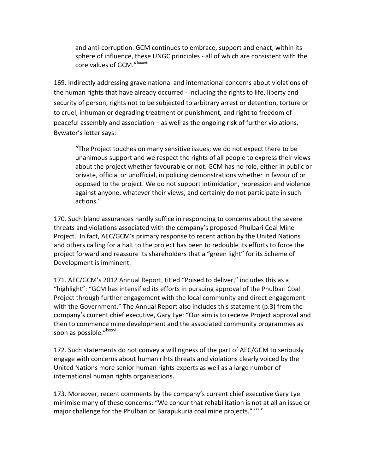and anti-corruption. GCM continues to embrace, support and enact, within its sphere of influence, these UNGC principles - all of which are consistent with the core values of GCM."<sup>Ixxxvii</sup>

169. Indirectly addressing grave national and international concerns about violations of the human rights that have already occurred - including the rights to life, liberty and security of person, rights not to be subjected to arbitrary arrest or detention, torture or to cruel, inhuman or degrading treatment or punishment, and right to freedom of peaceful assembly and association – as well as the ongoing risk of further violations, Bywater's letter says:

"The Project touches on many sensitive issues; we do not expect there to be unanimous support and we respect the rights of all people to express their views about the project whether favourable or not. GCM has no role, either in public or private, official or unofficial, in policing demonstrations whether in favour of or opposed to the project. We do not support intimidation, repression and violence against anyone, whatever their views, and certainly do not participate in such actions."

170. Such bland assurances hardly suffice in responding to concerns about the severe threats and violations associated with the company's proposed Phulbari Coal Mine Project. In fact, AEC/GCM's primary response to recent action by the United Nations and others calling for a halt to the project has been to redouble its efforts to force the project forward and reassure its shareholders that a "green light" for its Scheme of Development is imminent.

171. AEC/GCM's 2012 Annual Report, titled "Poised to deliver," includes this as a "highlight": "GCM has intensified its efforts in pursuing approval of the Phulbari Coal Project through further engagement with the local community and direct engagement with the Government." The Annual Report also includes this statement (p.3) from the company's current chief executive, Gary Lye: "Our aim is to receive Project approval and then to commence mine development and the associated community programmes as soon as possible."<sup>Ixxxviii</sup>

172. Such statements do not convey a willingness of the part of AEC/GCM to seriously engage with concerns about human rihts threats and violations clearly voiced by the United Nations more senior human rights experts as well as a large number of international human rights organisations.

173. Moreover, recent comments by the company's current chief executive Gary Lye minimise many of these concerns: "We concur that rehabilitation is not at all an issue or major challenge for the Phulbari or Barapukuria coal mine projects."<sup>Ixxxix</sup>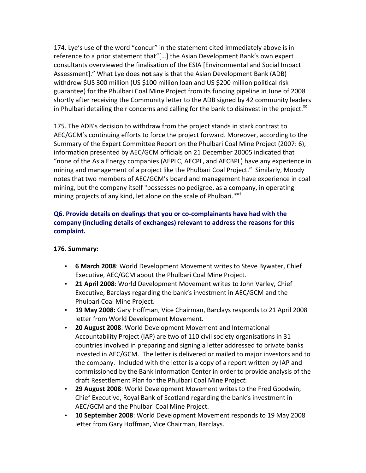174. Lye's use of the word "concur" in the statement cited immediately above is in reference to a prior statement that"[...] the Asian Development Bank's own expert consultants overviewed the finalisation of the ESIA [Environmental and Social Impact Assessment]." What Lye does not say is that the Asian Development Bank (ADB) withdrew \$US 300 million (US \$100 million loan and US \$200 million political risk guarantee) for the Phulbari Coal Mine Project from its funding pipeline in June of 2008 shortly after receiving the Community letter to the ADB signed by 42 community leaders in Phulbari detailing their concerns and calling for the bank to disinvest in the project. $^{x}$ 

175. The ADB's decision to withdraw from the project stands in stark contrast to AEC/GCM's continuing efforts to force the project forward. Moreover, according to the Summary of the Expert Committee Report on the Phulbari Coal Mine Project (2007: 6), information presented by AEC/GCM officials on 21 December 20005 indicated that "none of the Asia Energy companies (AEPLC, AECPL, and AECBPL) have any experience in mining and management of a project like the Phulbari Coal Project." Similarly, Moody notes that two members of AEC/GCM's board and management have experience in coal mining, but the company itself "possesses no pedigree, as a company, in operating mining projects of any kind, let alone on the scale of Phulbari."XCI

# **Q6. Provide details on dealings that you or co-complainants have had with the** company (including details of exchanges) relevant to address the reasons for this **complaint.**

### **176. Summary:**

- **6 March 2008**: World Development Movement writes to Steve Bywater, Chief Executive, AEC/GCM about the Phulbari Coal Mine Project.
- **21 April 2008**: World Development Movement writes to John Varley, Chief Executive, Barclays regarding the bank's investment in AEC/GCM and the Phulbari Coal Mine Project.
- **19 May 2008:** Gary Hoffman, Vice Chairman, Barclays responds to 21 April 2008 letter from World Development Movement.
- **20 August 2008**: World Development Movement and International Accountability Project (IAP) are two of 110 civil society organisations in 31 countries involved in preparing and signing a letter addressed to private banks invested in AEC/GCM. The letter is delivered or mailed to major investors and to the company. Included with the letter is a copy of a report written by IAP and commissioned by the Bank Information Center in order to provide analysis of the draft Resettlement Plan for the Phulbari Coal Mine Project.
- **29 August 2008**: World Development Movement writes to the Fred Goodwin, Chief Executive, Royal Bank of Scotland regarding the bank's investment in AEC/GCM and the Phulbari Coal Mine Project.
- **10 September 2008**: World Development Movement responds to 19 May 2008 letter from Gary Hoffman, Vice Chairman, Barclays.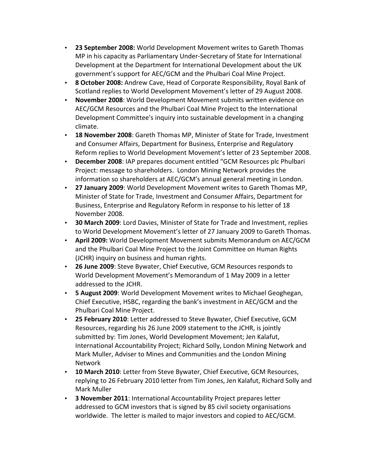- **23 September 2008:** World Development Movement writes to Gareth Thomas MP in his capacity as Parliamentary Under-Secretary of State for International Development at the Department for International Development about the UK government's support for AEC/GCM and the Phulbari Coal Mine Project.
- **8 October 2008:** Andrew Cave, Head of Corporate Responsibility, Royal Bank of Scotland replies to World Development Movement's letter of 29 August 2008.
- November 2008: World Development Movement submits written evidence on AEC/GCM Resources and the Phulbari Coal Mine Project to the International Development Committee's inquiry into sustainable development in a changing climate.
- **18 November 2008**: Gareth Thomas MP, Minister of State for Trade, Investment and Consumer Affairs, Department for Business, Enterprise and Regulatory Reform replies to World Development Movement's letter of 23 September 2008.
- **December 2008**: IAP prepares document entitled "GCM Resources plc Phulbari Project: message to shareholders. London Mining Network provides the information so shareholders at AEC/GCM's annual general meeting in London.
- **27 January 2009**: World Development Movement writes to Gareth Thomas MP, Minister of State for Trade, Investment and Consumer Affairs, Department for Business, Enterprise and Regulatory Reform in response to his letter of 18 November 2008.
- **30 March 2009**: Lord Davies, Minister of State for Trade and Investment, replies to World Development Movement's letter of 27 January 2009 to Gareth Thomas.
- **April 2009:** World Development Movement submits Memorandum on AEC/GCM and the Phulbari Coal Mine Project to the Joint Committee on Human Rights (JCHR) inquiry on business and human rights.
- **26 June 2009**: Steve Bywater, Chief Executive, GCM Resources responds to World Development Movement's Memorandum of 1 May 2009 in a letter addressed to the JCHR.
- **5 August 2009**: World Development Movement writes to Michael Geoghegan, Chief Executive, HSBC, regarding the bank's investment in AEC/GCM and the Phulbari Coal Mine Project.
- **25 February 2010**: Letter addressed to Steve Bywater, Chief Executive, GCM Resources, regarding his 26 June 2009 statement to the JCHR, is jointly submitted by: Tim Jones, World Development Movement; Jen Kalafut, International Accountability Project; Richard Solly, London Mining Network and Mark Muller, Adviser to Mines and Communities and the London Mining Network
- **10 March 2010**: Letter from Steve Bywater, Chief Executive, GCM Resources, replying to 26 February 2010 letter from Tim Jones, Jen Kalafut, Richard Solly and Mark Muller
- **3 November 2011**: International Accountability Project prepares letter addressed to GCM investors that is signed by 85 civil society organisations worldwide. The letter is mailed to major investors and copied to AEC/GCM.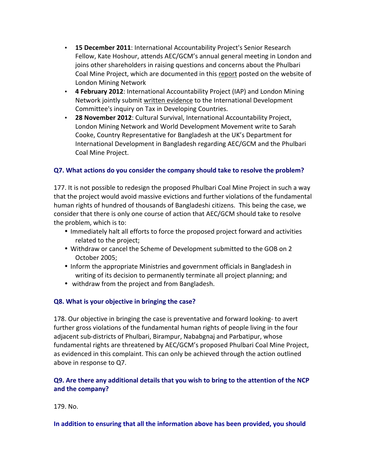- **15 December 2011**: International Accountability Project's Senior Research Fellow, Kate Hoshour, attends AEC/GCM's annual general meeting in London and joins other shareholders in raising questions and concerns about the Phulbari Coal Mine Project, which are documented in this report posted on the website of London Mining Network
- 4 February 2012: International Accountability Project (IAP) and London Mining Network jointly submit written evidence to the International Development Committee's inquiry on Tax in Developing Countries.
- **28 November 2012**: Cultural Survival, International Accountability Project, London Mining Network and World Development Movement write to Sarah Cooke, Country Representative for Bangladesh at the UK's Department for International Development in Bangladesh regarding AEC/GCM and the Phulbari Coal Mine Project.

### **Q7.** What actions do you consider the company should take to resolve the problem?

177. It is not possible to redesign the proposed Phulbari Coal Mine Project in such a way that the project would avoid massive evictions and further violations of the fundamental human rights of hundred of thousands of Bangladeshi citizens. This being the case, we consider that there is only one course of action that AEC/GCM should take to resolve the problem, which is to:

- Immediately halt all efforts to force the proposed project forward and activities related to the project;
- Withdraw or cancel the Scheme of Development submitted to the GOB on 2 October 2005;
- Inform the appropriate Ministries and government officials in Bangladesh in writing of its decision to permanently terminate all project planning; and
- withdraw from the project and from Bangladesh.

### **Q8. What is your objective in bringing the case?**

178. Our objective in bringing the case is preventative and forward looking-to avert further gross violations of the fundamental human rights of people living in the four adjacent sub-districts of Phulbari, Birampur, Nababgnaj and Parbatipur, whose fundamental rights are threatened by AEC/GCM's proposed Phulbari Coal Mine Project, as evidenced in this complaint. This can only be achieved through the action outlined above in response to Q7.

## **Q9.** Are there any additional details that you wish to bring to the attention of the NCP and the company?

179. No.

#### In addition to ensuring that all the information above has been provided, you should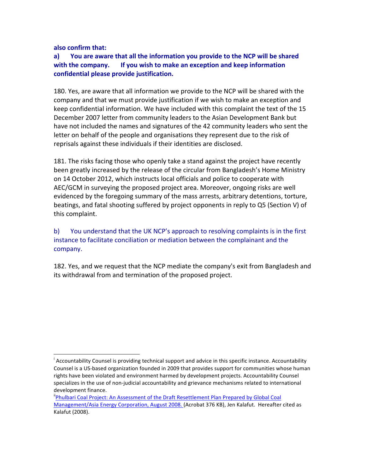**also&confirm&that:**

### a) You are aware that all the information you provide to the NCP will be shared **with the company.** If you wish to make an exception and keep information confidential please provide justification.

180. Yes, are aware that all information we provide to the NCP will be shared with the company and that we must provide justification if we wish to make an exception and keep confidential information. We have included with this complaint the text of the 15 December 2007 letter from community leaders to the Asian Development Bank but have not included the names and signatures of the 42 community leaders who sent the letter on behalf of the people and organisations they represent due to the risk of reprisals against these individuals if their identities are disclosed.

181. The risks facing those who openly take a stand against the project have recently been greatly increased by the release of the circular from Bangladesh's Home Ministry on 14 October 2012, which instructs local officials and police to cooperate with AEC/GCM in surveying the proposed project area. Moreover, ongoing risks are well evidenced by the foregoing summary of the mass arrests, arbitrary detentions, torture, beatings, and fatal shooting suffered by project opponents in reply to Q5 (Section V) of this complaint.

b) You understand that the UK NCP's approach to resolving complaints is in the first instance to facilitate conciliation or mediation between the complainant and the company.

182. Yes, and we request that the NCP mediate the company's exit from Bangladesh and its withdrawal from and termination of the proposed project.

<sup>|&</sup>lt;br>| Accountability Counsel is providing technical support and advice in this specific instance. Accountability Counsel is a US-based organization founded in 2009 that provides support for communities whose human rights have been violated and environment harmed by development projects. Accountability Counsel specializes in the use of non-judicial accountability and grievance mechanisms related to international development finance.

<sup>&</sup>lt;sup>"</sup>Phulbari Coal Project: An Assessment of the Draft Resettlement Plan Prepared by Global Coal Management/Asia Energy Corporation, August 2008. (Acrobat 376 KB), Jen Kalafut. Hereafter cited as Kalafut (2008).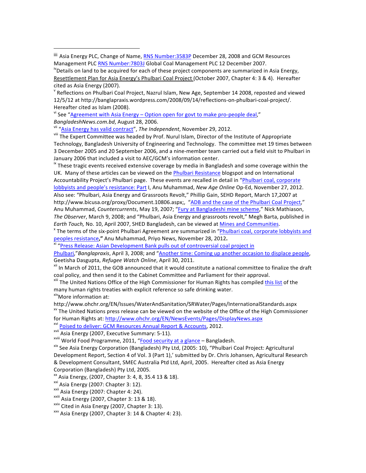$\mathrm{v}$  Reflections on Phulbari Coal Project, Nazrul Islam, New Age, September 14 2008, reposted and viewed 12/5/12 at http://banglapraxis.wordpress.com/2008/09/14/reflections-on-phulbari-coal-project/. Hereafter cited as Islam (2008).

vi See "Agreement with Asia Energy – Option open for govt to make pro-people deal," BangladeshNews.com.bd, August 28, 2006.<br>
<sup>vii</sup> "Asia Energy has valid contract", The Independent, November 29, 2012.<br>
<sup>vii</sup> The Expert Committee was headed by Prof. Nurul Islam, Director of the Institute of Appropriate

!!!!!!!!!!!!!!!!!!!!!!!!!!!!!!!!!!!!!!!!!!!!!!!!!!!!!!!

Technology, Bangladesh University of Engineering and Technology. The committee met 19 times between 3 December 2005 and 20 September 2006, and a nine-member team carried out a field visit to Phulbari in January 2006 that included a visit to AEC/GCM's information center.

<sup>ix</sup> These tragic events received extensive coverage by media in Bangladesh and some coverage within the UK. Many of these articles can be viewed on the Phulbari Resistance blogspot and on International Accountability Project's Phulbari page. These events are recalled in detail in "Phulbari coal, corporate lobbyists and people's resistance: Part I, Anu Muhammad, *New Age Online* Op-Ed, November 27, 2012. Also see: "Phulbari, Asia Energy and Grassroots Revolt," Phillip Gain, SEHD Report, March 17,2007 at http://www.bicusa.org/proxy/Document.10806.aspx;, "ADB and the case of the Phulbari Coal Project," Anu Muhammad, *Countercurrents*, May 19, 2007; "Fury at Bangladeshi mine scheme," Nick Mathiason, The Observer, March 9, 2008; and "Phulbari, Asia Energy and grassroots revolt," Megh Barta, published in *Earth Touch, No. 10, April 2007, SHED Bangladesh, can be viewed at Mines and Communities.* 

<sup>\*</sup> The terms of the six-point Phulbari Agreement are summarized in "Phulbari coal, corporate lobbyists and peoples resistance," Anu Muhammad, Priyo News, November 28, 2012.<br><sup>xi</sup> "Press Release: Asian Development Bank pulls out of controversial coal project in

Phulbari,"*Banglapraxis*, April 3, 2008; and "Another time: Coming up another occasion to displace people, Geetisha Dasgupta, *Refugee Watch Online*, April 30, 2011. *Xii* In March of Sanglize the draft<br><sup>xii</sup> In March of 2011, the GOB announced that it would constitute a national committee to finalize the draft

coal policy, and then send it to the Cabinet Committee and Parliament for their approval.<br><sup>xiii</sup> The United Nations Office of the High Commissioner for Human Rights has compiled *this list* of the

many human rights treaties with explicit reference so safe drinking water. xiv<sub>More</sub> information at:

http://www.ohchr.org/EN/Issues/WaterAndSanitation/SRWater/Pages/InternationalStandards.aspx  $x<sup>v</sup>$  The United Nations press release can be viewed on the website of the Office of the High Commissioner

for Human Rights at: <u>http://www.ohchr.org/EN/NewsEvents/Pages/DisplayNews.aspx</u><br>
<sup>xvi</sup> <u>Poised to deliver: GCM Resources Annual Report & Accounts</u>, 2012.<br>
<sup>xvii</sup> Asia Energy (2007, Executive Summary: 5-11).<br>
<sup>xvii</sup> World Development Report, Section 4 of Vol. 3 (Part 1),' submitted by Dr. Chris Johansen, Agricultural Research & Development Consultant, SMEC Australia Ptd Ltd, April, 2005. Hereafter cited as Asia Energy Corporation (Bangladesh) Pty Ltd, 2005.

 $^{xx}$  Asia Energy, (2007, Chapter 3: 4, 8, 35.4 13 & 18).

<sup>xxi</sup> Asia Energy (2007: Chapter 3: 12).<br><sup>xxii</sup> Asia Energy (2007: Chapter 4: 24).

<sup>xxiii</sup> Asia Energy (2007, Chapter 3: 13 & 18).  $x_{\text{xiv}}$  Cited in Asia Energy (2007, Chapter 3: 13).  $x_{\text{xx}}$  Asia Energy (2007, Chapter 3: 14 & Chapter 4: 23).

iii Asia Energy PLC, Change of Name, RNS Number:3583P December 28, 2008 and GCM Resources Management PLC RNS Number:7803J Global Coal Management PLC 12 December 2007. ivDetails on land to be acquired for each of these project components are summarized in Asia Energy,

Resettlement Plan for Asia Energy's Phulbari Coal Project (October 2007, Chapter 4: 3 & 4). Hereafter cited as Asia Energy (2007).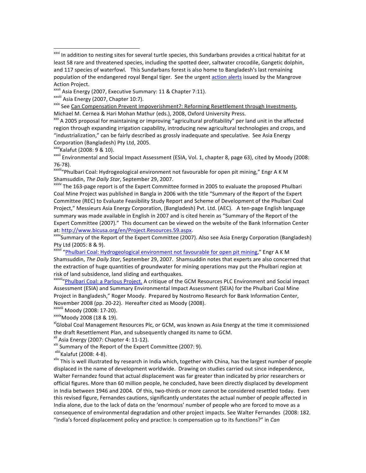<sup>xxvii</sup> Asia Energy (2007, Executive Summary: 11 & Chapter 7:11).<br><sup>xxviii</sup> Asia Energy (2007, Chapter 10:7).

 $\frac{x}{x}$  A 2005 proposal for maintaining or improving "agricultural profitability" per land unit in the affected region through expanding irrigation capability, introducing new agricultural technologies and crops, and "industrialization," can be fairly described as grossly inadequate and speculative. See Asia Energy Corporation (Bangladesh) Pty Ltd, 2005.<br><sup>xxxi</sup>Kalafut (2008: 9 & 10).

xxxii Environmental and Social Impact Assessment (ESIA, Vol. 1, chapter 8, page 63), cited by Moody (2008:

76-78).<br><sup>xxxiii</sup>"Phulbari Coal: Hydrogeological environment not favourable for open pit mining," Engr A K M Shamsuddin, *The Daily Star*, September 29, 2007.<br><sup>xxxiv</sup> The 163-page report is of the Expert Committee formed in 2005 to evaluate the proposed Phulbari

Coal Mine Project was published in Bangla in 2006 with the title "Summary of the Report of the Expert Committee (REC) to Evaluate Feasibility Study Report and Scheme of Development of the Phulbari Coal Project," Messieurs Asia Energy Corporation, (Bangladesh) Pvt. Ltd. (AEC). A ten-page English language summary was made available in English in 2007 and is cited herein as "Summary of the Report of the Expert Committee (2007)." This document can be viewed on the website of the Bank Information Center at: http://www.bicusa.org/en/Project.Resources.59.aspx.<br>\*\*\*\*Summary of the Report of the Expert Committee (2007). Also see Asia Energy Corporation (Bangladesh)

Pty Ltd (2005: 8 & 9).

xxxvi "Phulbari Coal: Hydrogeological environment not favourable for open pit mining," Engr A K M Shamsuddin, The Daily Star, September 29, 2007. Shamsuddin notes that experts are also concerned that the extraction of huge quantities of groundwater for mining operations may put the Phulbari region at risk of land subsidence, land sliding and earthquakes.

xxxvii<sub>"</sub>Phulbari Coal: a Parlous Project. A critique of the GCM Resources PLC Environment and Social Impact Assessment (ESIA) and Summary Environmental Impact Assessment (SEIA) for the Phulbari Coal Mine Project in Bangladesh," Roger Moody. Prepared by Nostromo Research for Bank Information Center, November 2008 (pp. 20-22). Hereafter cited as Moody (2008). <br>xxxixiii Moody (2008: 17-20). xxxix<br>xxixMoody 2008 (18 & 19). xlGlobal Coal Management Resources Plc, or GCM, was known as Asia Energy at the time it commissione

the draft Resettlement Plan, and subsequently changed its name to GCM.<br><sup>xli</sup> Asia Energy (2007: Chapter 4: 11-12).

x<sup>III</sup> Summary of the Report of the Expert Committee (2007: 9).<br><sup>xIIII</sup>Kalafut (2008: 4-8).<br><sup>xIIV</sup> This is well illustrated by research in India which, together with China, has the largest number of people displaced in the name of development worldwide. Drawing on studies carried out since independence, Walter Fernandez found that actual displacement was far greater than indicated by prior researchers or official figures. More than 60 million people, he concluded, have been directly displaced by development in India between 1946 and 2004. Of this, two-thirds or more cannot be considered resettled today. Even this revised figure, Fernandes cautions, significantly understates the actual number of people affected in India alone, due to the lack of data on the 'enormous' number of people who are forced to move as a consequence of environmental degradation and other project impacts. See Walter Fernandes (2008: 182. "India's forced displacement policy and practice: Is compensation up to its functions?" in *Can* 

xxvi In addition to nesting sites for several turtle species, this Sundarbans provides a critical habitat for at least 58 rare and threatened species, including the spotted deer, saltwater crocodile, Gangetic dolphin, and 117 species of waterfowl. This Sundarbans forest is also home to Bangladesh's last remaining population of the endangered royal Bengal tiger. See the urgent action alerts issued by the Mangrove Action Project.

xxix See Can Compensation Prevent Impoverishment?: Reforming Resettlement through Investments, Michael M. Cernea & Hari Mohan Mathur (eds.), 2008, Oxford University Press.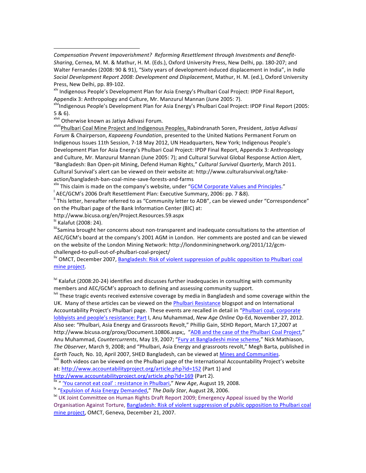Compensation Prevent Impoverishment? Reforming Resettlement through Investments and Benefit-Sharing, Cernea, M. M. & Mathur, H. M. (Eds.), Oxford University Press, New Delhi, pp. 180-207; and Walter Fernandes (2008: 90 & 91), "Sixty years of development-induced displacement in India", in *India* Social Development Report 2008: Development and Displacement, Mathur, H. M. (ed.), Oxford University Press, New Delhi, pp. 89-102.<br><sup>xlv</sup> Indigenous People's Development Plan for Asia Energy's Phulbari Coal Project: IPDP Final Report,

Appendix 3: Anthropology and Culture, Mr. Manzurul Mannan (June 2005: 7).<br><sup>xlvi</sup>Indigenous People's Development Plan for Asia Energy's Phulbari Coal Project: IPDP Final Report (2005:

5 & 6).<br><sup>xivii</sup> Otherwise known as Jatiya Adivasi Forum.

!!!!!!!!!!!!!!!!!!!!!!!!!!!!!!!!!!!!!!!!!!!!!!!!!!!!!!!

x<sup>lviii</sup> Phulbari Coal Mine Project and Indigenous Peoples, Rabindranath Soren, President, Jatiya Adivasi Forum & Chairperson, *Kapaeeng Foundation*, presented to the United Nations Permanent Forum on Indigenous Issues 11th Session, 7-18 May 2012, UN Headquarters, New York; Indigenous People's Development Plan for Asia Energy's Phulbari Coal Project: IPDP Final Report, Appendix 3: Anthropology and Culture, Mr. Manzurul Mannan (June 2005: 7); and Cultural Survival Global Response Action Alert, "Bangladesh: Ban Open-pit Mining, Defend Human Rights," Cultural Survival Quarterly, March 2011. Cultural Survival's alert can be viewed on their website at: http://www.culturalsurvival.org/takeaction/bangladesh-ban-coal-mine-save-forests-and-farms<br>
xlix This claim is made on the company's website, under "GCM Corporate Values and Principles."

 $^{\prime}$  AEC/GCM's 2006 Draft Resettlement Plan: Executive Summary, 2006: pp. 7 &8).

<sup>li</sup> This letter, hereafter referred to as "Community letter to ADB", can be viewed under "Correspondence" on the Phulbari page of the Bank Information Center (BIC) at:

http://www.bicusa.org/en/Project.Resources.59.aspx

lii Kalafut (2008: 24).<br><sup>!!!!</sup>Samina brought her concerns about non-transparent and inadequate consultations to the attention of AEC/GCM's board at the company's 2001 AGM in London. Her comments are posted and can be viewed on the website of the London Mining Network: http://londonminingnetwork.org/2011/12/gcmchallenged-to-pull-out-of-phulbari-coal-project/<br>
<sup>liv</sup> OMCT, December 2007, Bangladesh: Risk of violent suppression of public opposition to Phulbari coal

mine project.

 $\frac{N_{1}}{N_{1}}$  Kalafut (2008:20-24) identifies and discusses further inadequacies in consulting with community members and AEC/GCM's approach to defining and assessing community support.<br><sup>Ivii</sup> These tragic events received extensive coverage by media in Bangladesh and some coverage within the

UK. Many of these articles can be viewed on the *Phulbari Resistance* blogspot and on International Accountability Project's Phulbari page. These events are recalled in detail in "Phulbari coal, corporate lobbyists and people's resistance: Part I, Anu Muhammad, *New Age Online* Op-Ed, November 27, 2012. Also see: "Phulbari, Asia Energy and Grassroots Revolt," Phillip Gain, SEHD Report, March 17,2007 at http://www.bicusa.org/proxy/Document.10806.aspx;, "ADB and the case of the Phulbari Coal Project," Anu Muhammad, *Countercurrents*, May 19, 2007; "Fury at Bangladeshi mine scheme," Nick Mathiason, The Observer, March 9, 2008; and "Phulbari, Asia Energy and grassroots revolt," Megh Barta, published in *Earth Touch,* No. 10, April 2007, SHED Bangladesh, can be viewed at <u>Mines and Communities</u>. laited by a bangladesh, can be viewed on the Phulbari page of the International Accountability Project's website

at: http://www.accountabilityproject.org/article.php?id=152 (Part 1) and

http://www.accountabilityproject.org/article.php?id=169 (Part 2).<br>
"" "You cannot eat coal': resistance in Phulbari," New Age, August 19, 2008.<br>
"" "Expulsion of Asia Energy Demanded," The Daily Star, August 28, 2006.<br>
"Wi Organisation Against Torture, Bangladesh: Risk of violent suppression of public opposition to Phulbari coal mine project, OMCT, Geneva, December 21, 2007.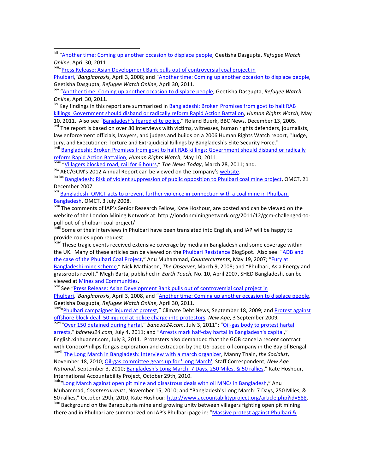Phulbari,"*Banglapraxis*, April 3, 2008; and "Another time: Coming up another occasion to displace people, Geetisha Dasgupta, *Refugee Watch Online*, April 30, 2011. laimen Dasgupta, *Refugee Watch*<br><sup>kiv</sup> "Another time: Coming up another occasion to displace people, Geetisha Dasgupta, *Refugee Watch* 

*Online*, April 30, 2011.<br><sup>Ixv</sup> Key findings in this report are summarized in Bangladeshi: Broken Promises from govt to halt RAB

killings: Government should disband or radically reform Rapid Action Battalion, *Human Rights Watch*, May

10, 2011. Also see "Bangladesh's feared elite police," Roland Buerk, BBC News, December 13, 2005. Ixvi The report is based on over 80 interviews with victims, witnesses, human rights defenders, journalists, law enforcement officials, lawyers, and judges and builds on a 2006 Human Rights Watch report, "Judge, Jury, and Executioner: Torture and Extrajudicial Killings by Bangladesh's Elite Security Force."

lxvii Bangladeshi: Broken Promises from govt to halt RAB killings: Government should disband or radically reform Rapid Action Battalion, Human Rights Watch, May 10, 2011.<br>
William "Villagers blocked road, rail for 6 hours," The News Today, March 28, 2011; and.<br>
Nix AEC/GCM's 2012 Annual Report can be viewed on the company's <u>w</u>

December 2007.

<sup>lxxi</sup> Bangladesh: OMCT acts to prevent further violence in connection with a coal mine in Phulbari, Bangladesh, OMCT, 3 July 2008.<br>
Ixxii The comments of IAP's Senior Research Fellow, Kate Hoshour, are posted and can be viewed on the

website of the London Mining Network at: http://londonminingnetwork.org/2011/12/gcm-challenged-topull-out-of-phulbari-coal-project/<br>
<sup>Ixxiii</sup> Some of their interviews in Phulbari have been translated into English, and IAP will be happy to

provide copies upon request.

lxxiv These tragic events received extensive coverage by media in Bangladesh and some coverage within the UK. Many of these articles can be viewed on the Phulbari Resistance BlogSpot. Also see: "ADB and the case of the Phulbari Coal Project," Anu Muhammad, *Countercurrents*, May 19, 2007; "Fury at Bangladeshi mine scheme," Nick Mathiason, *The Observer*, March 9, 2008; and "Phulbari, Asia Energy and grassroots revolt," Megh Barta, published in *Earth Touch*, No. 10, April 2007, SHED Bangladesh, can be viewed at <u>Mines and Communities</u>.<br>
Ixxv See "Press Release: Asian Development Bank pulls out of controversial coal project in

Phulbari,"*Banglapraxis*, April 3, 2008, and "Another time: Coming up another occasion to displace people, Geetisha Dasgupta, *Refugee Watch Online*, April 30, 2011. lawwi. September 18, 2009; and Protest against lawiting phulbari campaigner injured at protest," Climate Debt News, September 18, 2009; and Protest against

offshore block deal: 50 injured at police charge into protestors, *New Age*, 3 September 2009. laxwii "Over 150 detained during hartal," *bdnews24.com*, July 3, 2011"; "Oil-gas body to protest hartal

arrests," bdnews24.com, July 4, 2011; and "Arrests mark half-day hartal in Bangladesh's capital," English.xinhuanet.com, July 3, 2011. Protesters also demanded that the GOB cancel a recent contract

with ConocoPhillips for gas exploration and extraction by the US-based oil company in the Bay of Bengal. Ixxviii The Long March in Bangladesh: Interview with a march organizer, Manny Thain, *the Socialist*, November 18, 2010; Oil-gas committee gears up for 'Long March', Staff Correspondent, New Age *National*, September 3, 2010; Bangladesh's Long March: 7 Days, 250 Miles, & 50 rallies," Kate Hoshour, International Accountability Project, October 29th, 2010. lxxix"Long March against open pit mine and disastrous deals with oil MNCs in Bangladesh," Anu

Muhammad, *Countercurrents*, November 15, 2010; and "Bangladesh's Long March: 7 Days, 250 Miles, & 50 rallies," October 29th, 2010, Kate Hoshour: http://www.accountabilityproject.org/article.php?id=588. lxxx<br>lxxx Background on the Barapukuria mine and growing unity between villagers fighting open pit mining

there and in Phulbari are summarized on IAP's Phulbari page in: "Massive protest against Phulbari &

<sup>&</sup>lt;sup>Ixii</sup> "Another time: Coming up another occasion to displace people, Geetisha Dasgupta, *Refugee Watch Online*, April 30, 2011 **lack and April 2012** language of the summer setting press Release: Asian Development Bank pulls out of controversial coal project in